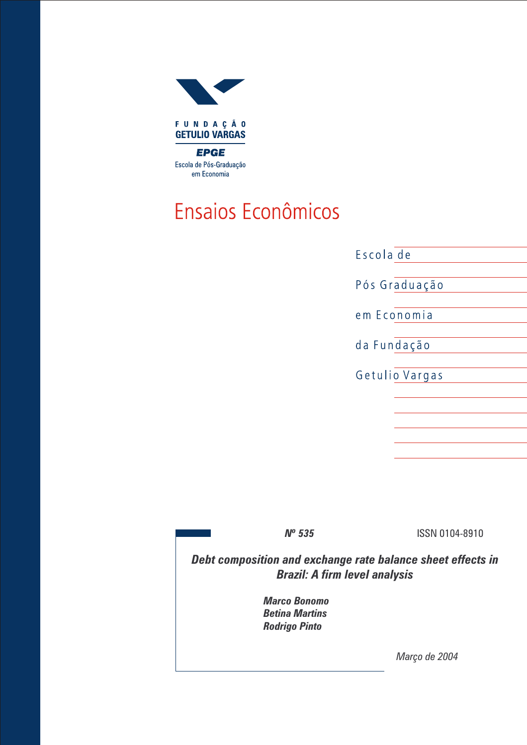

## Ensaios Econômicos

| Escola de      |  |
|----------------|--|
| Pós Graduação  |  |
| em Economia    |  |
| da Fundação    |  |
| Getulio Vargas |  |
|                |  |
|                |  |
|                |  |
|                |  |

**N° 535** ISSN 0104-8910

Debt composition and exchange rate balance sheet effects in Brazil: A firm level analysis

> Marco Bonomo Betina Martins Rodrigo Pinto

> > Março de 2004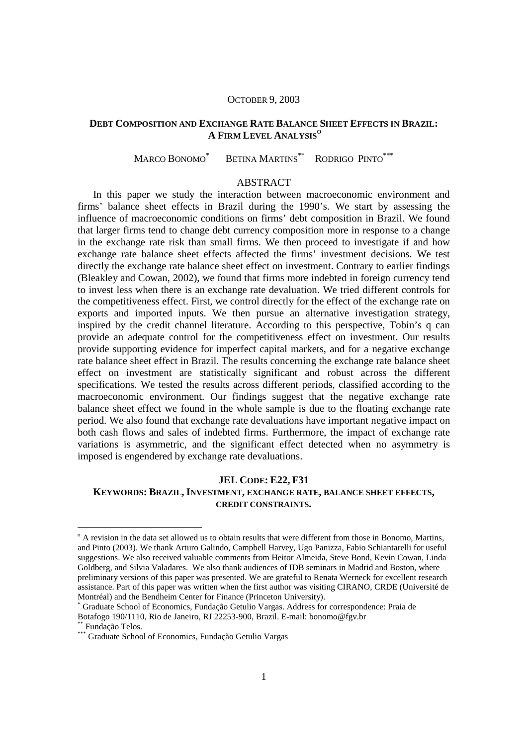#### OCTOBER 9, 2003

## **DEBT COMPOSITION AND EXCHANGE RATE BALANCE SHEET EFFECTS IN BRAZIL: A FIRM LEVEL ANALYSIS<sup>O</sup>**

MARCO BONOMO\* BETINA MARTINS<sup>\*\*</sup> RODRIGO PINTO<sup>\*\*\*</sup>

## ABSTRACT

In this paper we study the interaction between macroeconomic environment and firms' balance sheet effects in Brazil during the 1990's. We start by assessing the influence of macroeconomic conditions on firms' debt composition in Brazil. We found that larger firms tend to change debt currency composition more in response to a change in the exchange rate risk than small firms. We then proceed to investigate if and how exchange rate balance sheet effects affected the firms' investment decisions. We test directly the exchange rate balance sheet effect on investment. Contrary to earlier findings (Bleakley and Cowan, 2002), we found that firms more indebted in foreign currency tend to invest less when there is an exchange rate devaluation. We tried different controls for the competitiveness effect. First, we control directly for the effect of the exchange rate on exports and imported inputs. We then pursue an alternative investigation strategy, inspired by the credit channel literature. According to this perspective, Tobin's q can provide an adequate control for the competitiveness effect on investment. Our results provide supporting evidence for imperfect capital markets, and for a negative exchange rate balance sheet effect in Brazil. The results concerning the exchange rate balance sheet effect on investment are statistically significant and robust across the different specifications. We tested the results across different periods, classified according to the macroeconomic environment. Our findings suggest that the negative exchange rate balance sheet effect we found in the whole sample is due to the floating exchange rate period. We also found that exchange rate devaluations have important negative impact on both cash flows and sales of indebted firms. Furthermore, the impact of exchange rate variations is asymmetric, and the significant effect detected when no asymmetry is imposed is engendered by exchange rate devaluations.

## **JEL CODE: E22, F31 KEYWORDS: BRAZIL, INVESTMENT, EXCHANGE RATE, BALANCE SHEET EFFECTS, CREDIT CONSTRAINTS.**

-

<sup>&</sup>lt;sup>o</sup> A revision in the data set allowed us to obtain results that were different from those in Bonomo, Martins, and Pinto (2003). We thank Arturo Galindo, Campbell Harvey, Ugo Panizza, Fabio Schiantarelli for useful suggestions. We also received valuable comments from Heitor Almeida, Steve Bond, Kevin Cowan, Linda Goldberg, and Silvia Valadares. We also thank audiences of IDB seminars in Madrid and Boston, where preliminary versions of this paper was presented. We are grateful to Renata Werneck for excellent research assistance. Part of this paper was written when the first author was visiting CIRANO, CRDE (Université de Montréal) and the Bendheim Center for Finance (Princeton University).

<sup>\*</sup> Graduate School of Economics, Fundação Getulio Vargas. Address for correspondence: Praia de Botafogo 190/1110, Rio de Janeiro, RJ 22253-900, Brazil. E-mail: bonomo@fgv.br

Fundação Telos.

<sup>\*\*\*</sup> Graduate School of Economics, Fundação Getulio Vargas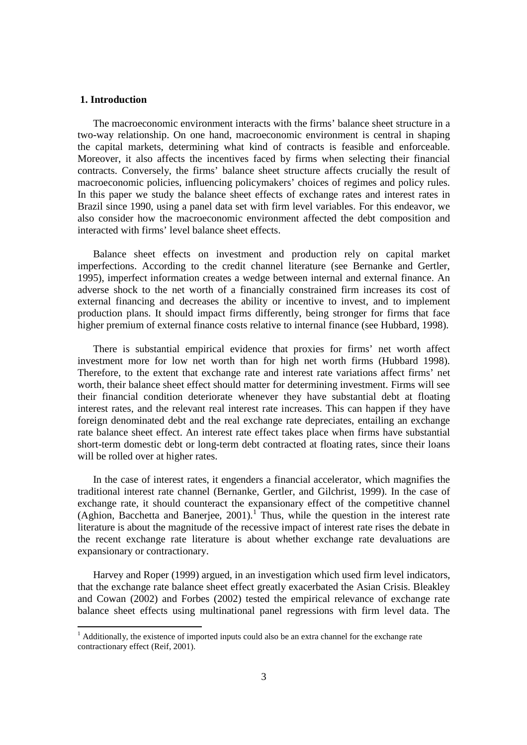## **1. Introduction**

-

The macroeconomic environment interacts with the firms' balance sheet structure in a two-way relationship. On one hand, macroeconomic environment is central in shaping the capital markets, determining what kind of contracts is feasible and enforceable. Moreover, it also affects the incentives faced by firms when selecting their financial contracts. Conversely, the firms' balance sheet structure affects crucially the result of macroeconomic policies, influencing policymakers' choices of regimes and policy rules. In this paper we study the balance sheet effects of exchange rates and interest rates in Brazil since 1990, using a panel data set with firm level variables. For this endeavor, we also consider how the macroeconomic environment affected the debt composition and interacted with firms' level balance sheet effects.

Balance sheet effects on investment and production rely on capital market imperfections. According to the credit channel literature (see Bernanke and Gertler, 1995), imperfect information creates a wedge between internal and external finance. An adverse shock to the net worth of a financially constrained firm increases its cost of external financing and decreases the ability or incentive to invest, and to implement production plans. It should impact firms differently, being stronger for firms that face higher premium of external finance costs relative to internal finance (see Hubbard, 1998).

There is substantial empirical evidence that proxies for firms' net worth affect investment more for low net worth than for high net worth firms (Hubbard 1998). Therefore, to the extent that exchange rate and interest rate variations affect firms' net worth, their balance sheet effect should matter for determining investment. Firms will see their financial condition deteriorate whenever they have substantial debt at floating interest rates, and the relevant real interest rate increases. This can happen if they have foreign denominated debt and the real exchange rate depreciates, entailing an exchange rate balance sheet effect. An interest rate effect takes place when firms have substantial short-term domestic debt or long-term debt contracted at floating rates, since their loans will be rolled over at higher rates.

In the case of interest rates, it engenders a financial accelerator, which magnifies the traditional interest rate channel (Bernanke, Gertler, and Gilchrist, 1999). In the case of exchange rate, it should counteract the expansionary effect of the competitive channel (Aghion, Bacchetta and Banerjee,  $2001$ ).<sup>1</sup> Thus, while the question in the interest rate literature is about the magnitude of the recessive impact of interest rate rises the debate in the recent exchange rate literature is about whether exchange rate devaluations are expansionary or contractionary.

Harvey and Roper (1999) argued, in an investigation which used firm level indicators, that the exchange rate balance sheet effect greatly exacerbated the Asian Crisis. Bleakley and Cowan (2002) and Forbes (2002) tested the empirical relevance of exchange rate balance sheet effects using multinational panel regressions with firm level data. The

 $<sup>1</sup>$  Additionally, the existence of imported inputs could also be an extra channel for the exchange rate</sup> contractionary effect (Reif, 2001).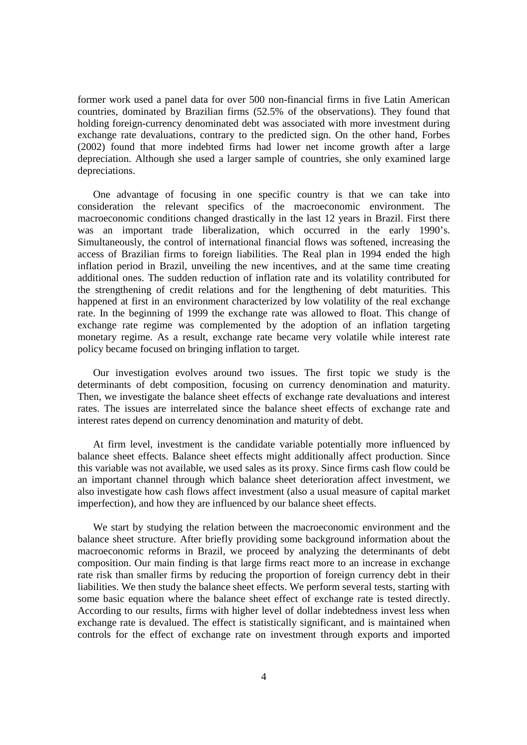former work used a panel data for over 500 non-financial firms in five Latin American countries, dominated by Brazilian firms (52.5% of the observations). They found that holding foreign-currency denominated debt was associated with more investment during exchange rate devaluations, contrary to the predicted sign. On the other hand, Forbes (2002) found that more indebted firms had lower net income growth after a large depreciation. Although she used a larger sample of countries, she only examined large depreciations.

One advantage of focusing in one specific country is that we can take into consideration the relevant specifics of the macroeconomic environment. The macroeconomic conditions changed drastically in the last 12 years in Brazil. First there was an important trade liberalization, which occurred in the early 1990's. Simultaneously, the control of international financial flows was softened, increasing the access of Brazilian firms to foreign liabilities. The Real plan in 1994 ended the high inflation period in Brazil, unveiling the new incentives, and at the same time creating additional ones. The sudden reduction of inflation rate and its volatility contributed for the strengthening of credit relations and for the lengthening of debt maturities. This happened at first in an environment characterized by low volatility of the real exchange rate. In the beginning of 1999 the exchange rate was allowed to float. This change of exchange rate regime was complemented by the adoption of an inflation targeting monetary regime. As a result, exchange rate became very volatile while interest rate policy became focused on bringing inflation to target.

Our investigation evolves around two issues. The first topic we study is the determinants of debt composition, focusing on currency denomination and maturity. Then, we investigate the balance sheet effects of exchange rate devaluations and interest rates. The issues are interrelated since the balance sheet effects of exchange rate and interest rates depend on currency denomination and maturity of debt.

At firm level, investment is the candidate variable potentially more influenced by balance sheet effects. Balance sheet effects might additionally affect production. Since this variable was not available, we used sales as its proxy. Since firms cash flow could be an important channel through which balance sheet deterioration affect investment, we also investigate how cash flows affect investment (also a usual measure of capital market imperfection), and how they are influenced by our balance sheet effects.

We start by studying the relation between the macroeconomic environment and the balance sheet structure. After briefly providing some background information about the macroeconomic reforms in Brazil, we proceed by analyzing the determinants of debt composition. Our main finding is that large firms react more to an increase in exchange rate risk than smaller firms by reducing the proportion of foreign currency debt in their liabilities. We then study the balance sheet effects. We perform several tests, starting with some basic equation where the balance sheet effect of exchange rate is tested directly. According to our results, firms with higher level of dollar indebtedness invest less when exchange rate is devalued. The effect is statistically significant, and is maintained when controls for the effect of exchange rate on investment through exports and imported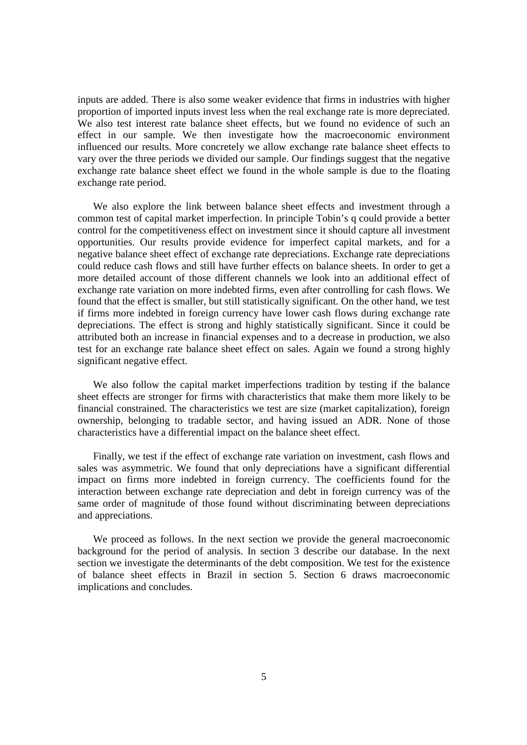inputs are added. There is also some weaker evidence that firms in industries with higher proportion of imported inputs invest less when the real exchange rate is more depreciated. We also test interest rate balance sheet effects, but we found no evidence of such an effect in our sample. We then investigate how the macroeconomic environment influenced our results. More concretely we allow exchange rate balance sheet effects to vary over the three periods we divided our sample. Our findings suggest that the negative exchange rate balance sheet effect we found in the whole sample is due to the floating exchange rate period.

We also explore the link between balance sheet effects and investment through a common test of capital market imperfection. In principle Tobin's q could provide a better control for the competitiveness effect on investment since it should capture all investment opportunities. Our results provide evidence for imperfect capital markets, and for a negative balance sheet effect of exchange rate depreciations. Exchange rate depreciations could reduce cash flows and still have further effects on balance sheets. In order to get a more detailed account of those different channels we look into an additional effect of exchange rate variation on more indebted firms, even after controlling for cash flows. We found that the effect is smaller, but still statistically significant. On the other hand, we test if firms more indebted in foreign currency have lower cash flows during exchange rate depreciations. The effect is strong and highly statistically significant. Since it could be attributed both an increase in financial expenses and to a decrease in production, we also test for an exchange rate balance sheet effect on sales. Again we found a strong highly significant negative effect.

We also follow the capital market imperfections tradition by testing if the balance sheet effects are stronger for firms with characteristics that make them more likely to be financial constrained. The characteristics we test are size (market capitalization), foreign ownership, belonging to tradable sector, and having issued an ADR. None of those characteristics have a differential impact on the balance sheet effect.

Finally, we test if the effect of exchange rate variation on investment, cash flows and sales was asymmetric. We found that only depreciations have a significant differential impact on firms more indebted in foreign currency. The coefficients found for the interaction between exchange rate depreciation and debt in foreign currency was of the same order of magnitude of those found without discriminating between depreciations and appreciations.

We proceed as follows. In the next section we provide the general macroeconomic background for the period of analysis. In section 3 describe our database. In the next section we investigate the determinants of the debt composition. We test for the existence of balance sheet effects in Brazil in section 5. Section 6 draws macroeconomic implications and concludes.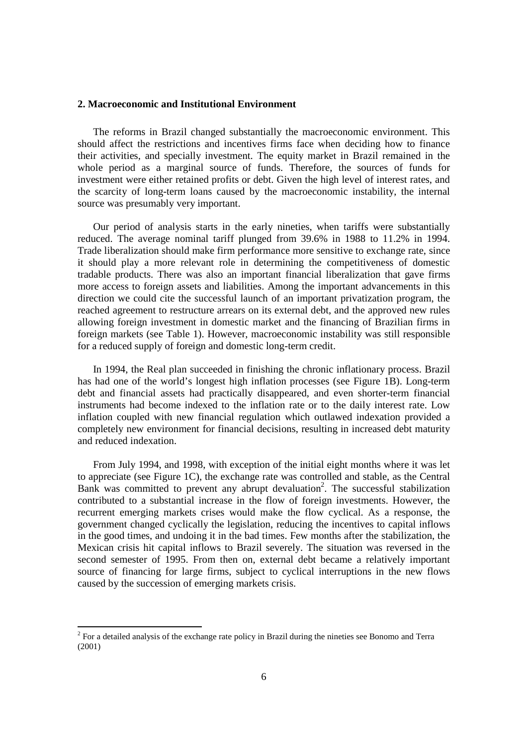## **2. Macroeconomic and Institutional Environment**

The reforms in Brazil changed substantially the macroeconomic environment. This should affect the restrictions and incentives firms face when deciding how to finance their activities, and specially investment. The equity market in Brazil remained in the whole period as a marginal source of funds. Therefore, the sources of funds for investment were either retained profits or debt. Given the high level of interest rates, and the scarcity of long-term loans caused by the macroeconomic instability, the internal source was presumably very important.

Our period of analysis starts in the early nineties, when tariffs were substantially reduced. The average nominal tariff plunged from 39.6% in 1988 to 11.2% in 1994. Trade liberalization should make firm performance more sensitive to exchange rate, since it should play a more relevant role in determining the competitiveness of domestic tradable products. There was also an important financial liberalization that gave firms more access to foreign assets and liabilities. Among the important advancements in this direction we could cite the successful launch of an important privatization program, the reached agreement to restructure arrears on its external debt, and the approved new rules allowing foreign investment in domestic market and the financing of Brazilian firms in foreign markets (see Table 1). However, macroeconomic instability was still responsible for a reduced supply of foreign and domestic long-term credit.

In 1994, the Real plan succeeded in finishing the chronic inflationary process. Brazil has had one of the world's longest high inflation processes (see Figure 1B). Long-term debt and financial assets had practically disappeared, and even shorter-term financial instruments had become indexed to the inflation rate or to the daily interest rate. Low inflation coupled with new financial regulation which outlawed indexation provided a completely new environment for financial decisions, resulting in increased debt maturity and reduced indexation.

From July 1994, and 1998, with exception of the initial eight months where it was let to appreciate (see Figure 1C), the exchange rate was controlled and stable, as the Central Bank was committed to prevent any abrupt devaluation<sup>2</sup>. The successful stabilization contributed to a substantial increase in the flow of foreign investments. However, the recurrent emerging markets crises would make the flow cyclical. As a response, the government changed cyclically the legislation, reducing the incentives to capital inflows in the good times, and undoing it in the bad times. Few months after the stabilization, the Mexican crisis hit capital inflows to Brazil severely. The situation was reversed in the second semester of 1995. From then on, external debt became a relatively important source of financing for large firms, subject to cyclical interruptions in the new flows caused by the succession of emerging markets crisis.

The actual control analysis of the exchange rate policy in Brazil during the nineties see Bonomo and Terra (2001)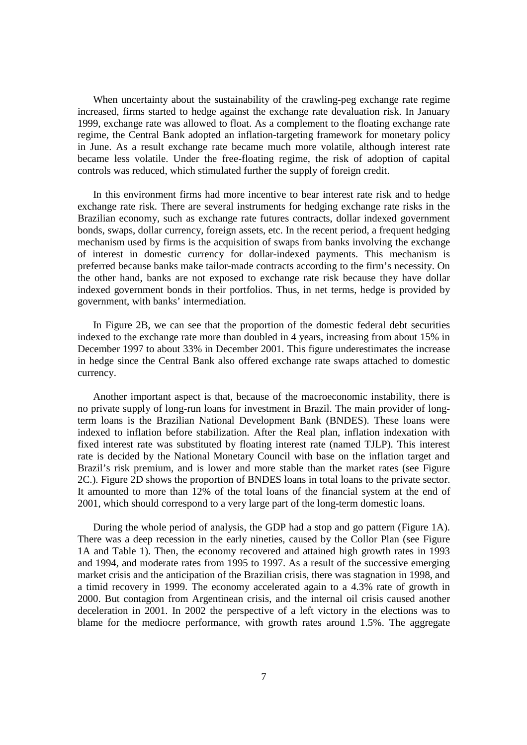When uncertainty about the sustainability of the crawling-peg exchange rate regime increased, firms started to hedge against the exchange rate devaluation risk. In January 1999, exchange rate was allowed to float. As a complement to the floating exchange rate regime, the Central Bank adopted an inflation-targeting framework for monetary policy in June. As a result exchange rate became much more volatile, although interest rate became less volatile. Under the free-floating regime, the risk of adoption of capital controls was reduced, which stimulated further the supply of foreign credit.

In this environment firms had more incentive to bear interest rate risk and to hedge exchange rate risk. There are several instruments for hedging exchange rate risks in the Brazilian economy, such as exchange rate futures contracts, dollar indexed government bonds, swaps, dollar currency, foreign assets, etc. In the recent period, a frequent hedging mechanism used by firms is the acquisition of swaps from banks involving the exchange of interest in domestic currency for dollar-indexed payments. This mechanism is preferred because banks make tailor-made contracts according to the firm's necessity. On the other hand, banks are not exposed to exchange rate risk because they have dollar indexed government bonds in their portfolios. Thus, in net terms, hedge is provided by government, with banks' intermediation.

In Figure 2B, we can see that the proportion of the domestic federal debt securities indexed to the exchange rate more than doubled in 4 years, increasing from about 15% in December 1997 to about 33% in December 2001. This figure underestimates the increase in hedge since the Central Bank also offered exchange rate swaps attached to domestic currency.

Another important aspect is that, because of the macroeconomic instability, there is no private supply of long-run loans for investment in Brazil. The main provider of longterm loans is the Brazilian National Development Bank (BNDES). These loans were indexed to inflation before stabilization. After the Real plan, inflation indexation with fixed interest rate was substituted by floating interest rate (named TJLP). This interest rate is decided by the National Monetary Council with base on the inflation target and Brazil's risk premium, and is lower and more stable than the market rates (see Figure 2C.). Figure 2D shows the proportion of BNDES loans in total loans to the private sector. It amounted to more than 12% of the total loans of the financial system at the end of 2001, which should correspond to a very large part of the long-term domestic loans.

During the whole period of analysis, the GDP had a stop and go pattern (Figure 1A). There was a deep recession in the early nineties, caused by the Collor Plan (see Figure 1A and Table 1). Then, the economy recovered and attained high growth rates in 1993 and 1994, and moderate rates from 1995 to 1997. As a result of the successive emerging market crisis and the anticipation of the Brazilian crisis, there was stagnation in 1998, and a timid recovery in 1999. The economy accelerated again to a 4.3% rate of growth in 2000. But contagion from Argentinean crisis, and the internal oil crisis caused another deceleration in 2001. In 2002 the perspective of a left victory in the elections was to blame for the mediocre performance, with growth rates around 1.5%. The aggregate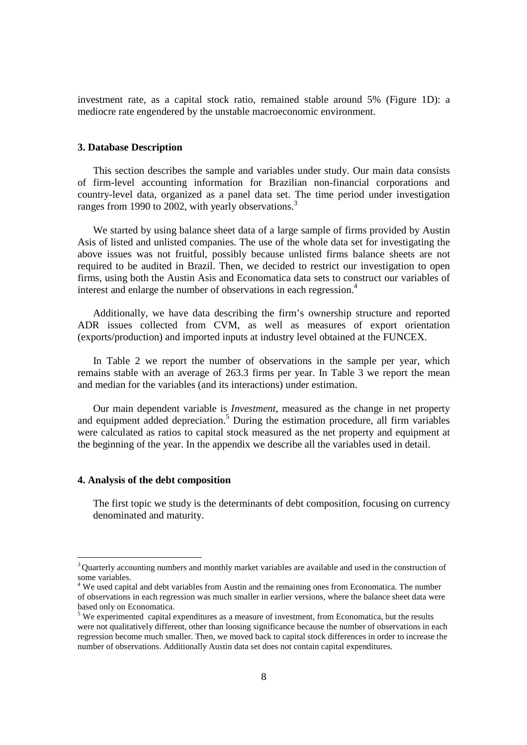investment rate, as a capital stock ratio, remained stable around 5% (Figure 1D): a mediocre rate engendered by the unstable macroeconomic environment.

#### **3. Database Description**

This section describes the sample and variables under study. Our main data consists of firm-level accounting information for Brazilian non-financial corporations and country-level data, organized as a panel data set. The time period under investigation ranges from 1990 to 2002, with yearly observations.<sup>3</sup>

We started by using balance sheet data of a large sample of firms provided by Austin Asis of listed and unlisted companies. The use of the whole data set for investigating the above issues was not fruitful, possibly because unlisted firms balance sheets are not required to be audited in Brazil. Then, we decided to restrict our investigation to open firms, using both the Austin Asis and Economatica data sets to construct our variables of interest and enlarge the number of observations in each regression.<sup>4</sup>

Additionally, we have data describing the firm's ownership structure and reported ADR issues collected from CVM, as well as measures of export orientation (exports/production) and imported inputs at industry level obtained at the FUNCEX.

In Table 2 we report the number of observations in the sample per year, which remains stable with an average of 263.3 firms per year. In Table 3 we report the mean and median for the variables (and its interactions) under estimation.

Our main dependent variable is *Investment*, measured as the change in net property and equipment added depreciation.<sup>5</sup> During the estimation procedure, all firm variables were calculated as ratios to capital stock measured as the net property and equipment at the beginning of the year. In the appendix we describe all the variables used in detail.

## **4. Analysis of the debt composition**

-

The first topic we study is the determinants of debt composition, focusing on currency denominated and maturity.

<sup>&</sup>lt;sup>3</sup> Quarterly accounting numbers and monthly market variables are available and used in the construction of some variables.

<sup>&</sup>lt;sup>4</sup> We used capital and debt variables from Austin and the remaining ones from Economatica. The number of observations in each regression was much smaller in earlier versions, where the balance sheet data were based only on Economatica.

 $<sup>5</sup>$  We experimented capital expenditures as a measure of investment, from Economatica, but the results</sup> were not qualitatively different, other than loosing significance because the number of observations in each regression become much smaller. Then, we moved back to capital stock differences in order to increase the number of observations. Additionally Austin data set does not contain capital expenditures.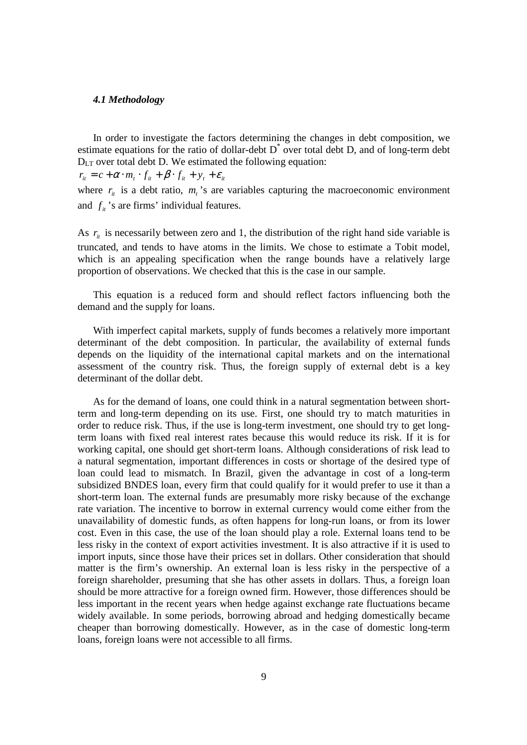#### *4.1 Methodology*

In order to investigate the factors determining the changes in debt composition, we estimate equations for the ratio of dollar-debt  $D^*$  over total debt D, and of long-term debt  $D_{LT}$  over total debt D. We estimated the following equation:

 $r_{it} = c + \alpha \cdot m_t \cdot f_{it} + \beta \cdot f_{it} + y_t + \varepsilon_{it}$ 

where  $r_{it}$  is a debt ratio,  $m_t$ 's are variables capturing the macroeconomic environment and  $f_{it}$ 's are firms' individual features.

As  $r_{it}$  is necessarily between zero and 1, the distribution of the right hand side variable is truncated, and tends to have atoms in the limits. We chose to estimate a Tobit model, which is an appealing specification when the range bounds have a relatively large proportion of observations. We checked that this is the case in our sample.

This equation is a reduced form and should reflect factors influencing both the demand and the supply for loans.

With imperfect capital markets, supply of funds becomes a relatively more important determinant of the debt composition. In particular, the availability of external funds depends on the liquidity of the international capital markets and on the international assessment of the country risk. Thus, the foreign supply of external debt is a key determinant of the dollar debt.

As for the demand of loans, one could think in a natural segmentation between shortterm and long-term depending on its use. First, one should try to match maturities in order to reduce risk. Thus, if the use is long-term investment, one should try to get longterm loans with fixed real interest rates because this would reduce its risk. If it is for working capital, one should get short-term loans. Although considerations of risk lead to a natural segmentation, important differences in costs or shortage of the desired type of loan could lead to mismatch. In Brazil, given the advantage in cost of a long-term subsidized BNDES loan, every firm that could qualify for it would prefer to use it than a short-term loan. The external funds are presumably more risky because of the exchange rate variation. The incentive to borrow in external currency would come either from the unavailability of domestic funds, as often happens for long-run loans, or from its lower cost. Even in this case, the use of the loan should play a role. External loans tend to be less risky in the context of export activities investment. It is also attractive if it is used to import inputs, since those have their prices set in dollars. Other consideration that should matter is the firm's ownership. An external loan is less risky in the perspective of a foreign shareholder, presuming that she has other assets in dollars. Thus, a foreign loan should be more attractive for a foreign owned firm. However, those differences should be less important in the recent years when hedge against exchange rate fluctuations became widely available. In some periods, borrowing abroad and hedging domestically became cheaper than borrowing domestically. However, as in the case of domestic long-term loans, foreign loans were not accessible to all firms.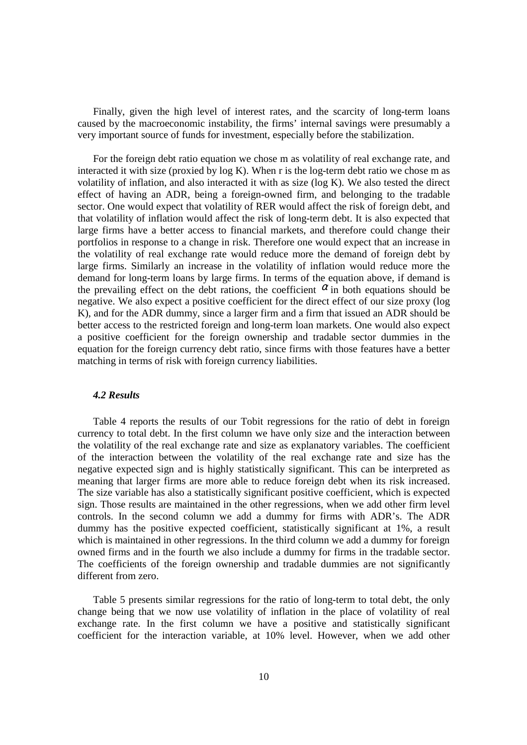Finally, given the high level of interest rates, and the scarcity of long-term loans caused by the macroeconomic instability, the firms' internal savings were presumably a very important source of funds for investment, especially before the stabilization.

For the foreign debt ratio equation we chose m as volatility of real exchange rate, and interacted it with size (proxied by log K). When r is the log-term debt ratio we chose m as volatility of inflation, and also interacted it with as size (log K). We also tested the direct effect of having an ADR, being a foreign-owned firm, and belonging to the tradable sector. One would expect that volatility of RER would affect the risk of foreign debt, and that volatility of inflation would affect the risk of long-term debt. It is also expected that large firms have a better access to financial markets, and therefore could change their portfolios in response to a change in risk. Therefore one would expect that an increase in the volatility of real exchange rate would reduce more the demand of foreign debt by large firms. Similarly an increase in the volatility of inflation would reduce more the demand for long-term loans by large firms. In terms of the equation above, if demand is the prevailing effect on the debt rations, the coefficient  $\alpha$  in both equations should be negative. We also expect a positive coefficient for the direct effect of our size proxy (log K), and for the ADR dummy, since a larger firm and a firm that issued an ADR should be better access to the restricted foreign and long-term loan markets. One would also expect a positive coefficient for the foreign ownership and tradable sector dummies in the equation for the foreign currency debt ratio, since firms with those features have a better matching in terms of risk with foreign currency liabilities.

## *4.2 Results*

Table 4 reports the results of our Tobit regressions for the ratio of debt in foreign currency to total debt. In the first column we have only size and the interaction between the volatility of the real exchange rate and size as explanatory variables. The coefficient of the interaction between the volatility of the real exchange rate and size has the negative expected sign and is highly statistically significant. This can be interpreted as meaning that larger firms are more able to reduce foreign debt when its risk increased. The size variable has also a statistically significant positive coefficient, which is expected sign. Those results are maintained in the other regressions, when we add other firm level controls. In the second column we add a dummy for firms with ADR's. The ADR dummy has the positive expected coefficient, statistically significant at 1%, a result which is maintained in other regressions. In the third column we add a dummy for foreign owned firms and in the fourth we also include a dummy for firms in the tradable sector. The coefficients of the foreign ownership and tradable dummies are not significantly different from zero.

Table 5 presents similar regressions for the ratio of long-term to total debt, the only change being that we now use volatility of inflation in the place of volatility of real exchange rate. In the first column we have a positive and statistically significant coefficient for the interaction variable, at 10% level. However, when we add other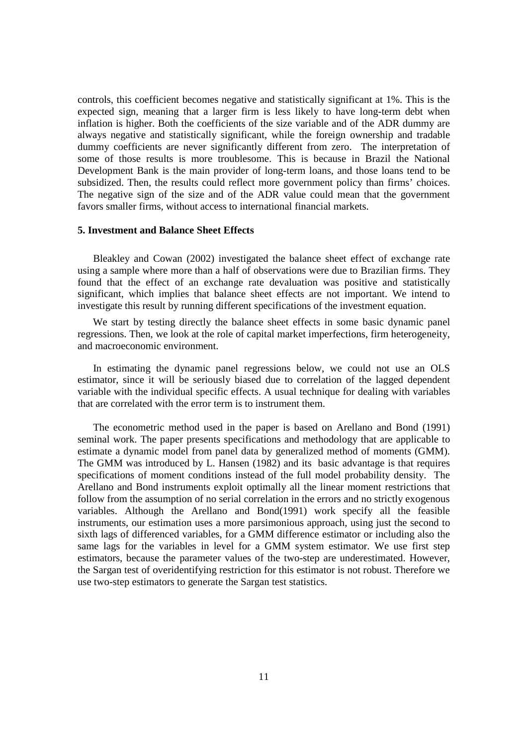controls, this coefficient becomes negative and statistically significant at 1%. This is the expected sign, meaning that a larger firm is less likely to have long-term debt when inflation is higher. Both the coefficients of the size variable and of the ADR dummy are always negative and statistically significant, while the foreign ownership and tradable dummy coefficients are never significantly different from zero. The interpretation of some of those results is more troublesome. This is because in Brazil the National Development Bank is the main provider of long-term loans, and those loans tend to be subsidized. Then, the results could reflect more government policy than firms' choices. The negative sign of the size and of the ADR value could mean that the government favors smaller firms, without access to international financial markets.

#### **5. Investment and Balance Sheet Effects**

Bleakley and Cowan (2002) investigated the balance sheet effect of exchange rate using a sample where more than a half of observations were due to Brazilian firms. They found that the effect of an exchange rate devaluation was positive and statistically significant, which implies that balance sheet effects are not important. We intend to investigate this result by running different specifications of the investment equation.

We start by testing directly the balance sheet effects in some basic dynamic panel regressions. Then, we look at the role of capital market imperfections, firm heterogeneity, and macroeconomic environment.

In estimating the dynamic panel regressions below, we could not use an OLS estimator, since it will be seriously biased due to correlation of the lagged dependent variable with the individual specific effects. A usual technique for dealing with variables that are correlated with the error term is to instrument them.

The econometric method used in the paper is based on Arellano and Bond (1991) seminal work. The paper presents specifications and methodology that are applicable to estimate a dynamic model from panel data by generalized method of moments (GMM). The GMM was introduced by L. Hansen (1982) and its basic advantage is that requires specifications of moment conditions instead of the full model probability density. The Arellano and Bond instruments exploit optimally all the linear moment restrictions that follow from the assumption of no serial correlation in the errors and no strictly exogenous variables. Although the Arellano and Bond(1991) work specify all the feasible instruments, our estimation uses a more parsimonious approach, using just the second to sixth lags of differenced variables, for a GMM difference estimator or including also the same lags for the variables in level for a GMM system estimator. We use first step estimators, because the parameter values of the two-step are underestimated. However, the Sargan test of overidentifying restriction for this estimator is not robust. Therefore we use two-step estimators to generate the Sargan test statistics.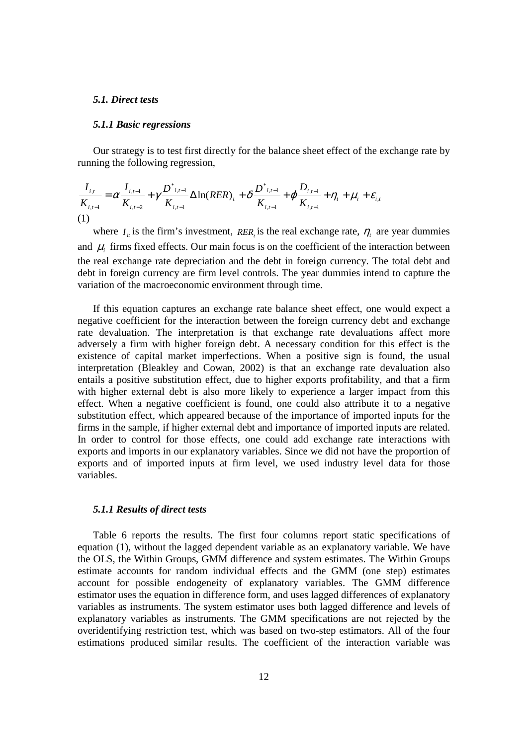#### *5.1. Direct tests*

#### *5.1.1 Basic regressions*

Our strategy is to test first directly for the balance sheet effect of the exchange rate by running the following regression,

$$
\frac{I_{i,t}}{K_{i,t-1}} = \alpha \frac{I_{i,t-1}}{K_{i,t-2}} + \gamma \frac{D^{*}_{i,t-1}}{K_{i,t-1}} \Delta \ln(RER)_{t} + \delta \frac{D^{*}_{i,t-1}}{K_{i,t-1}} + \varphi \frac{D_{i,t-1}}{K_{i,t-1}} + \eta_{t} + \mu_{i} + \varepsilon_{i,t}
$$
\n(1)

where  $I_i$  is the firm's investment, *RER*, is the real exchange rate,  $\eta_t$  are year dummies and  $\mu_i$  firms fixed effects. Our main focus is on the coefficient of the interaction between the real exchange rate depreciation and the debt in foreign currency. The total debt and debt in foreign currency are firm level controls. The year dummies intend to capture the variation of the macroeconomic environment through time.

If this equation captures an exchange rate balance sheet effect, one would expect a negative coefficient for the interaction between the foreign currency debt and exchange rate devaluation. The interpretation is that exchange rate devaluations affect more adversely a firm with higher foreign debt. A necessary condition for this effect is the existence of capital market imperfections. When a positive sign is found, the usual interpretation (Bleakley and Cowan, 2002) is that an exchange rate devaluation also entails a positive substitution effect, due to higher exports profitability, and that a firm with higher external debt is also more likely to experience a larger impact from this effect. When a negative coefficient is found, one could also attribute it to a negative substitution effect, which appeared because of the importance of imported inputs for the firms in the sample, if higher external debt and importance of imported inputs are related. In order to control for those effects, one could add exchange rate interactions with exports and imports in our explanatory variables. Since we did not have the proportion of exports and of imported inputs at firm level, we used industry level data for those variables.

## *5.1.1 Results of direct tests*

Table 6 reports the results. The first four columns report static specifications of equation (1), without the lagged dependent variable as an explanatory variable. We have the OLS, the Within Groups, GMM difference and system estimates. The Within Groups estimate accounts for random individual effects and the GMM (one step) estimates account for possible endogeneity of explanatory variables. The GMM difference estimator uses the equation in difference form, and uses lagged differences of explanatory variables as instruments. The system estimator uses both lagged difference and levels of explanatory variables as instruments. The GMM specifications are not rejected by the overidentifying restriction test, which was based on two-step estimators. All of the four estimations produced similar results. The coefficient of the interaction variable was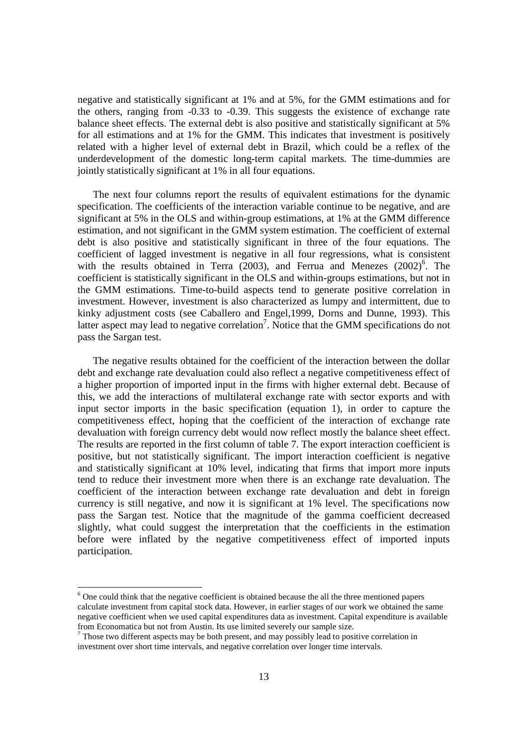negative and statistically significant at 1% and at 5%, for the GMM estimations and for the others, ranging from -0.33 to -0.39. This suggests the existence of exchange rate balance sheet effects. The external debt is also positive and statistically significant at 5% for all estimations and at 1% for the GMM. This indicates that investment is positively related with a higher level of external debt in Brazil, which could be a reflex of the underdevelopment of the domestic long-term capital markets. The time-dummies are jointly statistically significant at 1% in all four equations.

The next four columns report the results of equivalent estimations for the dynamic specification. The coefficients of the interaction variable continue to be negative, and are significant at 5% in the OLS and within-group estimations, at 1% at the GMM difference estimation, and not significant in the GMM system estimation. The coefficient of external debt is also positive and statistically significant in three of the four equations. The coefficient of lagged investment is negative in all four regressions, what is consistent with the results obtained in Terra  $(2003)$ , and Ferrua and Menezes  $(2002)^6$ . The coefficient is statistically significant in the OLS and within-groups estimations, but not in the GMM estimations. Time-to-build aspects tend to generate positive correlation in investment. However, investment is also characterized as lumpy and intermittent, due to kinky adjustment costs (see Caballero and Engel,1999, Dorns and Dunne, 1993). This latter aspect may lead to negative correlation<sup>7</sup>. Notice that the GMM specifications do not pass the Sargan test.

The negative results obtained for the coefficient of the interaction between the dollar debt and exchange rate devaluation could also reflect a negative competitiveness effect of a higher proportion of imported input in the firms with higher external debt. Because of this, we add the interactions of multilateral exchange rate with sector exports and with input sector imports in the basic specification (equation 1), in order to capture the competitiveness effect, hoping that the coefficient of the interaction of exchange rate devaluation with foreign currency debt would now reflect mostly the balance sheet effect. The results are reported in the first column of table 7. The export interaction coefficient is positive, but not statistically significant. The import interaction coefficient is negative and statistically significant at 10% level, indicating that firms that import more inputs tend to reduce their investment more when there is an exchange rate devaluation. The coefficient of the interaction between exchange rate devaluation and debt in foreign currency is still negative, and now it is significant at 1% level. The specifications now pass the Sargan test. Notice that the magnitude of the gamma coefficient decreased slightly, what could suggest the interpretation that the coefficients in the estimation before were inflated by the negative competitiveness effect of imported inputs participation.

 $6$  One could think that the negative coefficient is obtained because the all the three mentioned papers calculate investment from capital stock data. However, in earlier stages of our work we obtained the same negative coefficient when we used capital expenditures data as investment. Capital expenditure is available from Economatica but not from Austin. Its use limited severely our sample size.

 $\overline{a}$ 

 $<sup>7</sup>$  Those two different aspects may be both present, and may possibly lead to positive correlation in</sup> investment over short time intervals, and negative correlation over longer time intervals.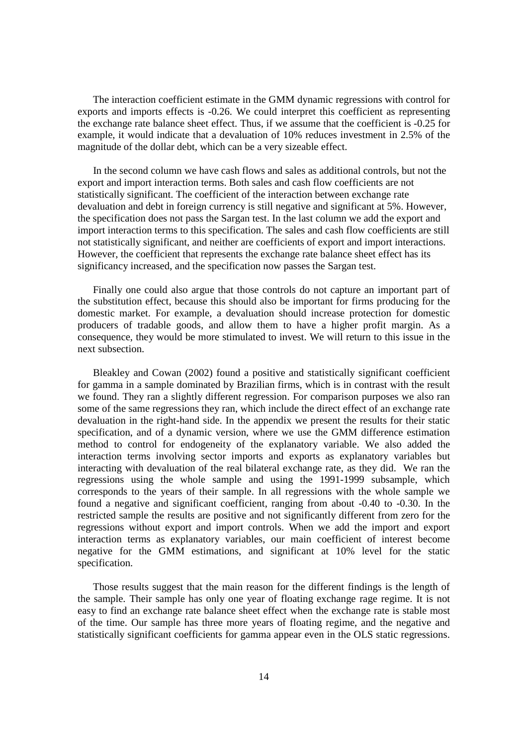The interaction coefficient estimate in the GMM dynamic regressions with control for exports and imports effects is -0.26. We could interpret this coefficient as representing the exchange rate balance sheet effect. Thus, if we assume that the coefficient is -0.25 for example, it would indicate that a devaluation of 10% reduces investment in 2.5% of the magnitude of the dollar debt, which can be a very sizeable effect.

In the second column we have cash flows and sales as additional controls, but not the export and import interaction terms. Both sales and cash flow coefficients are not statistically significant. The coefficient of the interaction between exchange rate devaluation and debt in foreign currency is still negative and significant at 5%. However, the specification does not pass the Sargan test. In the last column we add the export and import interaction terms to this specification. The sales and cash flow coefficients are still not statistically significant, and neither are coefficients of export and import interactions. However, the coefficient that represents the exchange rate balance sheet effect has its significancy increased, and the specification now passes the Sargan test.

Finally one could also argue that those controls do not capture an important part of the substitution effect, because this should also be important for firms producing for the domestic market. For example, a devaluation should increase protection for domestic producers of tradable goods, and allow them to have a higher profit margin. As a consequence, they would be more stimulated to invest. We will return to this issue in the next subsection.

Bleakley and Cowan (2002) found a positive and statistically significant coefficient for gamma in a sample dominated by Brazilian firms, which is in contrast with the result we found. They ran a slightly different regression. For comparison purposes we also ran some of the same regressions they ran, which include the direct effect of an exchange rate devaluation in the right-hand side. In the appendix we present the results for their static specification, and of a dynamic version, where we use the GMM difference estimation method to control for endogeneity of the explanatory variable. We also added the interaction terms involving sector imports and exports as explanatory variables but interacting with devaluation of the real bilateral exchange rate, as they did. We ran the regressions using the whole sample and using the 1991-1999 subsample, which corresponds to the years of their sample. In all regressions with the whole sample we found a negative and significant coefficient, ranging from about -0.40 to -0.30. In the restricted sample the results are positive and not significantly different from zero for the regressions without export and import controls. When we add the import and export interaction terms as explanatory variables, our main coefficient of interest become negative for the GMM estimations, and significant at 10% level for the static specification.

Those results suggest that the main reason for the different findings is the length of the sample. Their sample has only one year of floating exchange rage regime. It is not easy to find an exchange rate balance sheet effect when the exchange rate is stable most of the time. Our sample has three more years of floating regime, and the negative and statistically significant coefficients for gamma appear even in the OLS static regressions.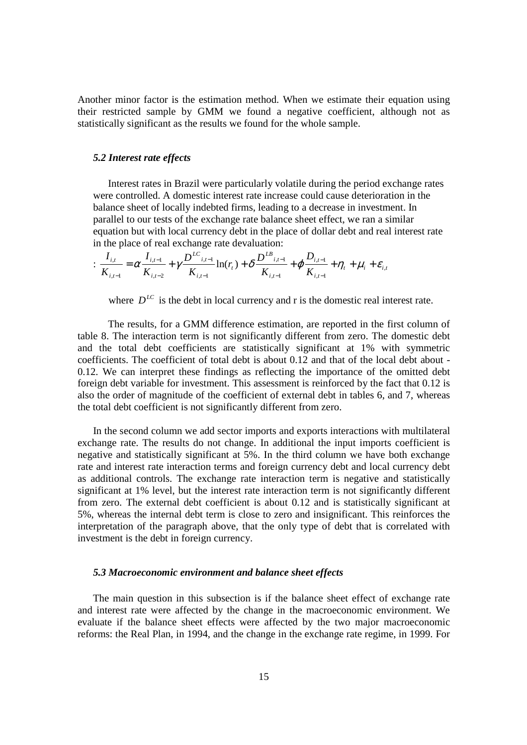Another minor factor is the estimation method. When we estimate their equation using their restricted sample by GMM we found a negative coefficient, although not as statistically significant as the results we found for the whole sample.

#### *5.2 Interest rate effects*

Interest rates in Brazil were particularly volatile during the period exchange rates were controlled. A domestic interest rate increase could cause deterioration in the balance sheet of locally indebted firms, leading to a decrease in investment. In parallel to our tests of the exchange rate balance sheet effect, we ran a similar equation but with local currency debt in the place of dollar debt and real interest rate in the place of real exchange rate devaluation:

$$
\frac{I_{i,t}}{K_{i,t-1}} = \alpha \frac{I_{i,t-1}}{K_{i,t-2}} + \gamma \frac{D^{LC}_{i,t-1}}{K_{i,t-1}} \ln(r_t) + \delta \frac{D^{LB}_{i,t-1}}{K_{i,t-1}} + \varphi \frac{D_{i,t-1}}{K_{i,t-1}} + \eta_t + \mu_i + \varepsilon_{i,t}
$$

where  $D^{LC}$  is the debt in local currency and r is the domestic real interest rate.

 The results, for a GMM difference estimation, are reported in the first column of table 8. The interaction term is not significantly different from zero. The domestic debt and the total debt coefficients are statistically significant at 1% with symmetric coefficients. The coefficient of total debt is about 0.12 and that of the local debt about - 0.12. We can interpret these findings as reflecting the importance of the omitted debt foreign debt variable for investment. This assessment is reinforced by the fact that 0.12 is also the order of magnitude of the coefficient of external debt in tables 6, and 7, whereas the total debt coefficient is not significantly different from zero.

In the second column we add sector imports and exports interactions with multilateral exchange rate. The results do not change. In additional the input imports coefficient is negative and statistically significant at 5%. In the third column we have both exchange rate and interest rate interaction terms and foreign currency debt and local currency debt as additional controls. The exchange rate interaction term is negative and statistically significant at 1% level, but the interest rate interaction term is not significantly different from zero. The external debt coefficient is about 0.12 and is statistically significant at 5%, whereas the internal debt term is close to zero and insignificant. This reinforces the interpretation of the paragraph above, that the only type of debt that is correlated with investment is the debt in foreign currency.

## *5.3 Macroeconomic environment and balance sheet effects*

The main question in this subsection is if the balance sheet effect of exchange rate and interest rate were affected by the change in the macroeconomic environment. We evaluate if the balance sheet effects were affected by the two major macroeconomic reforms: the Real Plan, in 1994, and the change in the exchange rate regime, in 1999. For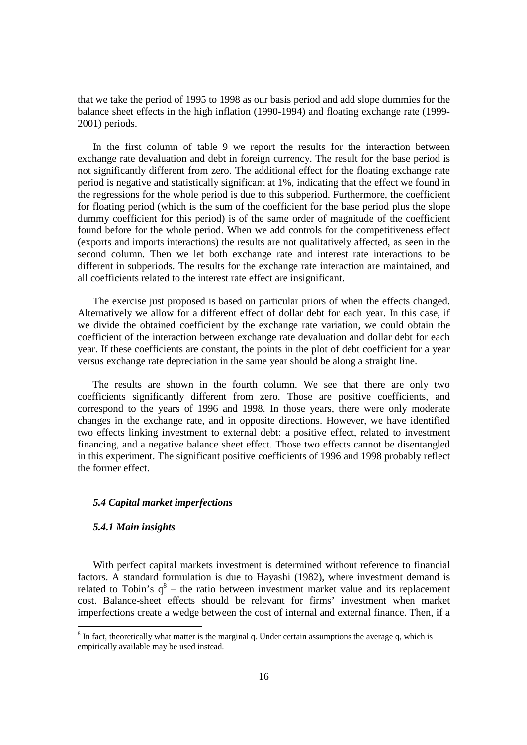that we take the period of 1995 to 1998 as our basis period and add slope dummies for the balance sheet effects in the high inflation (1990-1994) and floating exchange rate (1999- 2001) periods.

In the first column of table 9 we report the results for the interaction between exchange rate devaluation and debt in foreign currency. The result for the base period is not significantly different from zero. The additional effect for the floating exchange rate period is negative and statistically significant at 1%, indicating that the effect we found in the regressions for the whole period is due to this subperiod. Furthermore, the coefficient for floating period (which is the sum of the coefficient for the base period plus the slope dummy coefficient for this period) is of the same order of magnitude of the coefficient found before for the whole period. When we add controls for the competitiveness effect (exports and imports interactions) the results are not qualitatively affected, as seen in the second column. Then we let both exchange rate and interest rate interactions to be different in subperiods. The results for the exchange rate interaction are maintained, and all coefficients related to the interest rate effect are insignificant.

The exercise just proposed is based on particular priors of when the effects changed. Alternatively we allow for a different effect of dollar debt for each year. In this case, if we divide the obtained coefficient by the exchange rate variation, we could obtain the coefficient of the interaction between exchange rate devaluation and dollar debt for each year. If these coefficients are constant, the points in the plot of debt coefficient for a year versus exchange rate depreciation in the same year should be along a straight line.

The results are shown in the fourth column. We see that there are only two coefficients significantly different from zero. Those are positive coefficients, and correspond to the years of 1996 and 1998. In those years, there were only moderate changes in the exchange rate, and in opposite directions. However, we have identified two effects linking investment to external debt: a positive effect, related to investment financing, and a negative balance sheet effect. Those two effects cannot be disentangled in this experiment. The significant positive coefficients of 1996 and 1998 probably reflect the former effect.

## *5.4 Capital market imperfections*

## *5.4.1 Main insights*

-

With perfect capital markets investment is determined without reference to financial factors. A standard formulation is due to Hayashi (1982), where investment demand is related to Tobin's  $q^8$  – the ratio between investment market value and its replacement cost. Balance-sheet effects should be relevant for firms' investment when market imperfections create a wedge between the cost of internal and external finance. Then, if a

 $8 \text{ In fact, theoretically what matter is the marginal q. Under certain assumptions the average q, which is }$ empirically available may be used instead.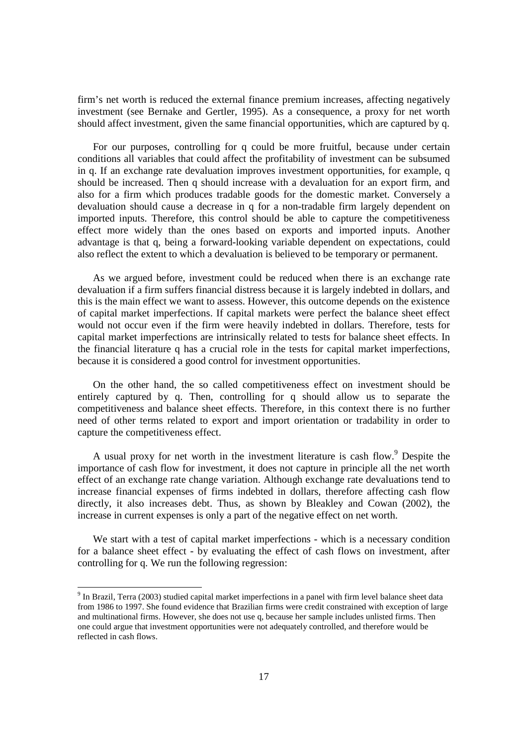firm's net worth is reduced the external finance premium increases, affecting negatively investment (see Bernake and Gertler, 1995). As a consequence, a proxy for net worth should affect investment, given the same financial opportunities, which are captured by q.

For our purposes, controlling for q could be more fruitful, because under certain conditions all variables that could affect the profitability of investment can be subsumed in q. If an exchange rate devaluation improves investment opportunities, for example, q should be increased. Then q should increase with a devaluation for an export firm, and also for a firm which produces tradable goods for the domestic market. Conversely a devaluation should cause a decrease in q for a non-tradable firm largely dependent on imported inputs. Therefore, this control should be able to capture the competitiveness effect more widely than the ones based on exports and imported inputs. Another advantage is that q, being a forward-looking variable dependent on expectations, could also reflect the extent to which a devaluation is believed to be temporary or permanent.

As we argued before, investment could be reduced when there is an exchange rate devaluation if a firm suffers financial distress because it is largely indebted in dollars, and this is the main effect we want to assess. However, this outcome depends on the existence of capital market imperfections. If capital markets were perfect the balance sheet effect would not occur even if the firm were heavily indebted in dollars. Therefore, tests for capital market imperfections are intrinsically related to tests for balance sheet effects. In the financial literature q has a crucial role in the tests for capital market imperfections, because it is considered a good control for investment opportunities.

On the other hand, the so called competitiveness effect on investment should be entirely captured by q. Then, controlling for q should allow us to separate the competitiveness and balance sheet effects. Therefore, in this context there is no further need of other terms related to export and import orientation or tradability in order to capture the competitiveness effect.

A usual proxy for net worth in the investment literature is cash flow.<sup>9</sup> Despite the importance of cash flow for investment, it does not capture in principle all the net worth effect of an exchange rate change variation. Although exchange rate devaluations tend to increase financial expenses of firms indebted in dollars, therefore affecting cash flow directly, it also increases debt. Thus, as shown by Bleakley and Cowan (2002), the increase in current expenses is only a part of the negative effect on net worth.

We start with a test of capital market imperfections - which is a necessary condition for a balance sheet effect - by evaluating the effect of cash flows on investment, after controlling for q. We run the following regression:

The Brazil, Terra (2003) studied capital market imperfections in a panel with firm level balance sheet data from 1986 to 1997. She found evidence that Brazilian firms were credit constrained with exception of large and multinational firms. However, she does not use q, because her sample includes unlisted firms. Then one could argue that investment opportunities were not adequately controlled, and therefore would be reflected in cash flows.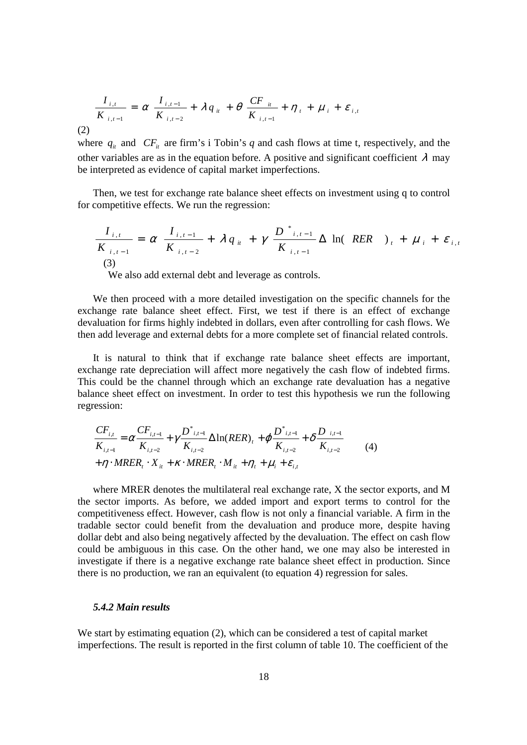$$
\frac{I_{i,t}}{K_{i,t-1}} = \alpha \frac{I_{i,t-1}}{K_{i,t-2}} + \lambda q_{it} + \theta \frac{CF_{it}}{K_{i,t-1}} + \eta_{t} + \mu_{i} + \varepsilon_{i,t}
$$

(2)

where  $q_i$  and  $CF_i$  are firm's i Tobin's q and cash flows at time t, respectively, and the other variables are as in the equation before. A positive and significant coefficient  $\lambda$  may be interpreted as evidence of capital market imperfections.

Then, we test for exchange rate balance sheet effects on investment using q to control for competitive effects. We run the regression:

$$
\frac{I_{i,t}}{K_{i,t-1}} = \alpha \frac{I_{i,t-1}}{K_{i,t-2}} + \lambda q_{it} + \gamma \frac{D^{*}_{i,t-1}}{K_{i,t-1}} \Delta \ln (RER)_{t} + \mu_{i} + \varepsilon_{i,t}
$$
\n(3)

We also add external debt and leverage as controls.

We then proceed with a more detailed investigation on the specific channels for the exchange rate balance sheet effect. First, we test if there is an effect of exchange devaluation for firms highly indebted in dollars, even after controlling for cash flows. We then add leverage and external debts for a more complete set of financial related controls.

It is natural to think that if exchange rate balance sheet effects are important, exchange rate depreciation will affect more negatively the cash flow of indebted firms. This could be the channel through which an exchange rate devaluation has a negative balance sheet effect on investment. In order to test this hypothesis we run the following regression:

$$
\frac{CF_{i,t}}{K_{i,t-1}} = \alpha \frac{CF_{i,t-1}}{K_{i,t-2}} + \gamma \frac{D^*_{i,t-1}}{K_{i,t-2}} \Delta \ln(RER)_t + \varphi \frac{D^*_{i,t-1}}{K_{i,t-2}} + \delta \frac{D_{i,t-1}}{K_{i,t-2}}
$$
\n
$$
+ \eta \cdot MRER_t \cdot X_{it} + \kappa \cdot MRER_t \cdot M_{it} + \eta_t + \mu_i + \varepsilon_{i,t}
$$
\n(4)

where MRER denotes the multilateral real exchange rate, X the sector exports, and M the sector imports. As before, we added import and export terms to control for the competitiveness effect. However, cash flow is not only a financial variable. A firm in the tradable sector could benefit from the devaluation and produce more, despite having dollar debt and also being negatively affected by the devaluation. The effect on cash flow could be ambiguous in this case. On the other hand, we one may also be interested in investigate if there is a negative exchange rate balance sheet effect in production. Since there is no production, we ran an equivalent (to equation 4) regression for sales.

## *5.4.2 Main results*

We start by estimating equation (2), which can be considered a test of capital market imperfections. The result is reported in the first column of table 10. The coefficient of the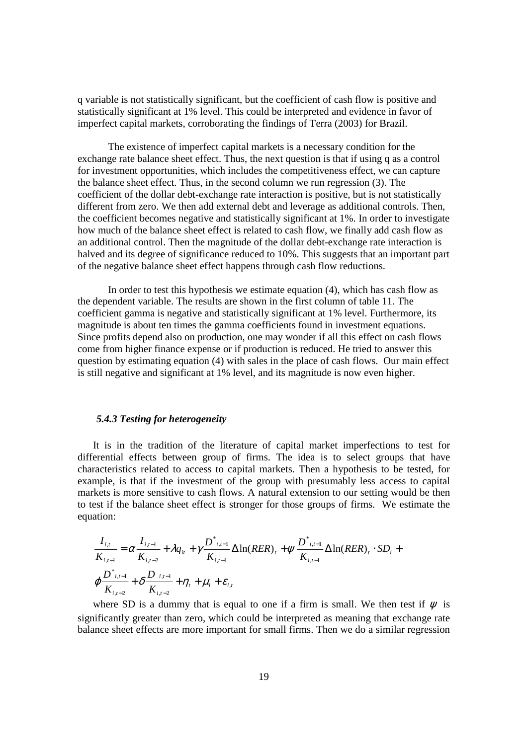q variable is not statistically significant, but the coefficient of cash flow is positive and statistically significant at 1% level. This could be interpreted and evidence in favor of imperfect capital markets, corroborating the findings of Terra (2003) for Brazil.

 The existence of imperfect capital markets is a necessary condition for the exchange rate balance sheet effect. Thus, the next question is that if using q as a control for investment opportunities, which includes the competitiveness effect, we can capture the balance sheet effect. Thus, in the second column we run regression (3). The coefficient of the dollar debt-exchange rate interaction is positive, but is not statistically different from zero. We then add external debt and leverage as additional controls. Then, the coefficient becomes negative and statistically significant at 1%. In order to investigate how much of the balance sheet effect is related to cash flow, we finally add cash flow as an additional control. Then the magnitude of the dollar debt-exchange rate interaction is halved and its degree of significance reduced to 10%. This suggests that an important part of the negative balance sheet effect happens through cash flow reductions.

 In order to test this hypothesis we estimate equation (4), which has cash flow as the dependent variable. The results are shown in the first column of table 11. The coefficient gamma is negative and statistically significant at 1% level. Furthermore, its magnitude is about ten times the gamma coefficients found in investment equations. Since profits depend also on production, one may wonder if all this effect on cash flows come from higher finance expense or if production is reduced. He tried to answer this question by estimating equation (4) with sales in the place of cash flows. Our main effect is still negative and significant at 1% level, and its magnitude is now even higher.

#### *5.4.3 Testing for heterogeneity*

It is in the tradition of the literature of capital market imperfections to test for differential effects between group of firms. The idea is to select groups that have characteristics related to access to capital markets. Then a hypothesis to be tested, for example, is that if the investment of the group with presumably less access to capital markets is more sensitive to cash flows. A natural extension to our setting would be then to test if the balance sheet effect is stronger for those groups of firms. We estimate the equation:

$$
\frac{I_{i,t}}{K_{i,t-1}} = \alpha \frac{I_{i,t-1}}{K_{i,t-2}} + \lambda q_{it} + \gamma \frac{D^*_{i,t-1}}{K_{i,t-1}} \Delta \ln(RER)_t + \gamma \frac{D^*_{i,t-1}}{K_{i,t-1}} \Delta \ln(RER)_t \cdot SD_i +
$$
  

$$
\varphi \frac{D^*_{i,t-1}}{K_{i,t-2}} + \delta \frac{D_{i,t-1}}{K_{i,t-2}} + \eta_t + \mu_i + \varepsilon_{i,t}
$$

where SD is a dummy that is equal to one if a firm is small. We then test if  $\psi$  is significantly greater than zero, which could be interpreted as meaning that exchange rate balance sheet effects are more important for small firms. Then we do a similar regression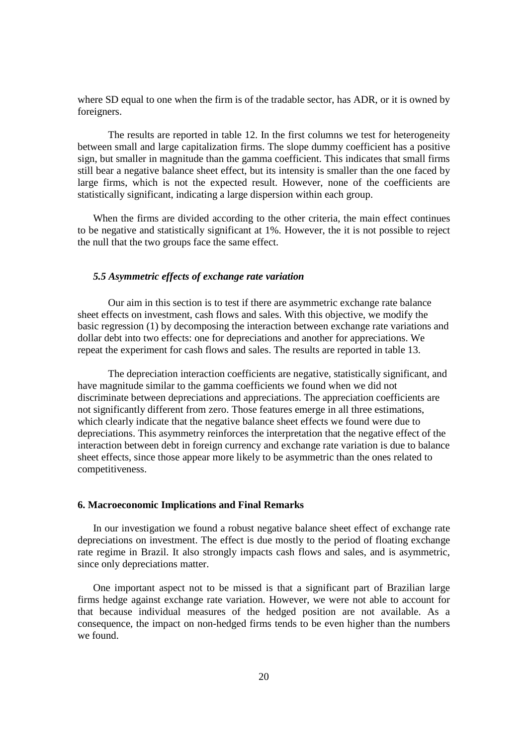where SD equal to one when the firm is of the tradable sector, has ADR, or it is owned by foreigners.

 The results are reported in table 12. In the first columns we test for heterogeneity between small and large capitalization firms. The slope dummy coefficient has a positive sign, but smaller in magnitude than the gamma coefficient. This indicates that small firms still bear a negative balance sheet effect, but its intensity is smaller than the one faced by large firms, which is not the expected result. However, none of the coefficients are statistically significant, indicating a large dispersion within each group.

When the firms are divided according to the other criteria, the main effect continues to be negative and statistically significant at 1%. However, the it is not possible to reject the null that the two groups face the same effect.

## *5.5 Asymmetric effects of exchange rate variation*

 Our aim in this section is to test if there are asymmetric exchange rate balance sheet effects on investment, cash flows and sales. With this objective, we modify the basic regression (1) by decomposing the interaction between exchange rate variations and dollar debt into two effects: one for depreciations and another for appreciations. We repeat the experiment for cash flows and sales. The results are reported in table 13.

 The depreciation interaction coefficients are negative, statistically significant, and have magnitude similar to the gamma coefficients we found when we did not discriminate between depreciations and appreciations. The appreciation coefficients are not significantly different from zero. Those features emerge in all three estimations, which clearly indicate that the negative balance sheet effects we found were due to depreciations. This asymmetry reinforces the interpretation that the negative effect of the interaction between debt in foreign currency and exchange rate variation is due to balance sheet effects, since those appear more likely to be asymmetric than the ones related to competitiveness.

## **6. Macroeconomic Implications and Final Remarks**

In our investigation we found a robust negative balance sheet effect of exchange rate depreciations on investment. The effect is due mostly to the period of floating exchange rate regime in Brazil. It also strongly impacts cash flows and sales, and is asymmetric, since only depreciations matter.

One important aspect not to be missed is that a significant part of Brazilian large firms hedge against exchange rate variation. However, we were not able to account for that because individual measures of the hedged position are not available. As a consequence, the impact on non-hedged firms tends to be even higher than the numbers we found.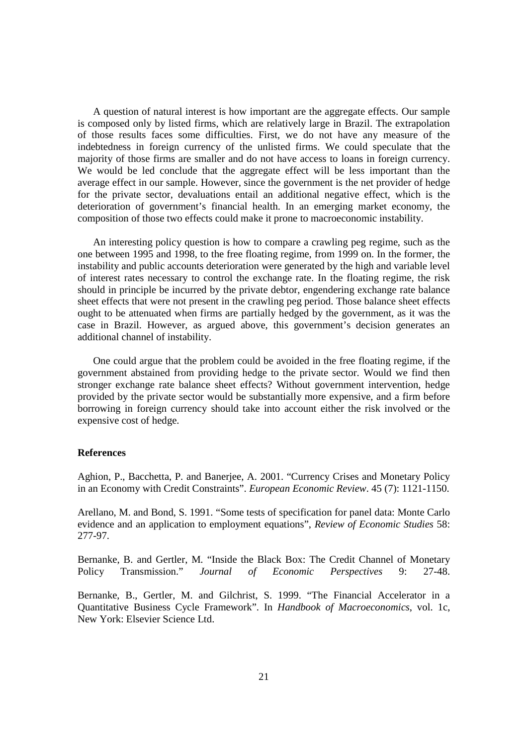A question of natural interest is how important are the aggregate effects. Our sample is composed only by listed firms, which are relatively large in Brazil. The extrapolation of those results faces some difficulties. First, we do not have any measure of the indebtedness in foreign currency of the unlisted firms. We could speculate that the majority of those firms are smaller and do not have access to loans in foreign currency. We would be led conclude that the aggregate effect will be less important than the average effect in our sample. However, since the government is the net provider of hedge for the private sector, devaluations entail an additional negative effect, which is the deterioration of government's financial health. In an emerging market economy, the composition of those two effects could make it prone to macroeconomic instability.

An interesting policy question is how to compare a crawling peg regime, such as the one between 1995 and 1998, to the free floating regime, from 1999 on. In the former, the instability and public accounts deterioration were generated by the high and variable level of interest rates necessary to control the exchange rate. In the floating regime, the risk should in principle be incurred by the private debtor, engendering exchange rate balance sheet effects that were not present in the crawling peg period. Those balance sheet effects ought to be attenuated when firms are partially hedged by the government, as it was the case in Brazil. However, as argued above, this government's decision generates an additional channel of instability.

One could argue that the problem could be avoided in the free floating regime, if the government abstained from providing hedge to the private sector. Would we find then stronger exchange rate balance sheet effects? Without government intervention, hedge provided by the private sector would be substantially more expensive, and a firm before borrowing in foreign currency should take into account either the risk involved or the expensive cost of hedge.

## **References**

Aghion, P., Bacchetta, P. and Banerjee, A. 2001. "Currency Crises and Monetary Policy in an Economy with Credit Constraints". *European Economic Review*. 45 (7): 1121-1150.

Arellano, M. and Bond, S. 1991. "Some tests of specification for panel data: Monte Carlo evidence and an application to employment equations", *Review of Economic Studies* 58: 277-97.

Bernanke, B. and Gertler, M. "Inside the Black Box: The Credit Channel of Monetary Policy Transmission." *Journal of Economic Perspectives* 9: 27-48.

Bernanke, B., Gertler, M. and Gilchrist, S. 1999. "The Financial Accelerator in a Quantitative Business Cycle Framework". In *Handbook of Macroeconomics*, vol. 1c, New York: Elsevier Science Ltd.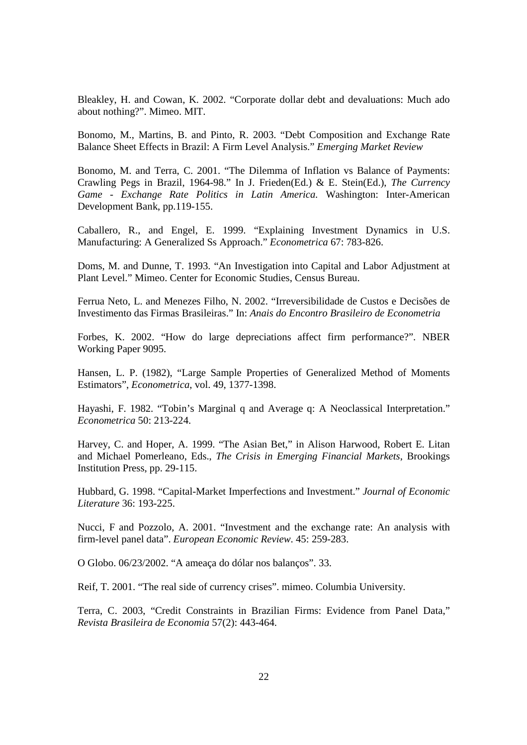Bleakley, H. and Cowan, K. 2002. "Corporate dollar debt and devaluations: Much ado about nothing?". Mimeo. MIT.

Bonomo, M., Martins, B. and Pinto, R. 2003. "Debt Composition and Exchange Rate Balance Sheet Effects in Brazil: A Firm Level Analysis." *Emerging Market Review*

Bonomo, M. and Terra, C. 2001. "The Dilemma of Inflation vs Balance of Payments: Crawling Pegs in Brazil, 1964-98." In J. Frieden(Ed.) & E. Stein(Ed.), *The Currency Game - Exchange Rate Politics in Latin America.* Washington: Inter-American Development Bank, pp.119-155.

Caballero, R., and Engel, E. 1999. "Explaining Investment Dynamics in U.S. Manufacturing: A Generalized Ss Approach." *Econometrica* 67: 783-826.

Doms, M. and Dunne, T. 1993. "An Investigation into Capital and Labor Adjustment at Plant Level." Mimeo. Center for Economic Studies, Census Bureau.

Ferrua Neto, L. and Menezes Filho, N. 2002. "Irreversibilidade de Custos e Decisões de Investimento das Firmas Brasileiras." In: *Anais do Encontro Brasileiro de Econometria*

Forbes, K. 2002. "How do large depreciations affect firm performance?". NBER Working Paper 9095.

Hansen, L. P. (1982), "Large Sample Properties of Generalized Method of Moments Estimators", *Econometrica*, vol. 49, 1377-1398.

Hayashi, F. 1982. "Tobin's Marginal q and Average q: A Neoclassical Interpretation." *Econometrica* 50: 213-224.

Harvey, C. and Hoper, A. 1999. "The Asian Bet," in Alison Harwood, Robert E. Litan and Michael Pomerleano, Eds., *The Crisis in Emerging Financial Markets*, Brookings Institution Press, pp. 29-115.

Hubbard, G. 1998. "Capital-Market Imperfections and Investment." *Journal of Economic Literature* 36: 193-225.

Nucci, F and Pozzolo, A. 2001. "Investment and the exchange rate: An analysis with firm-level panel data". *European Economic Review*. 45: 259-283.

O Globo. 06/23/2002. "A ameaça do dólar nos balanços". 33.

Reif, T. 2001. "The real side of currency crises". mimeo. Columbia University.

Terra, C. 2003, "Credit Constraints in Brazilian Firms: Evidence from Panel Data," *Revista Brasileira de Economia* 57(2): 443-464.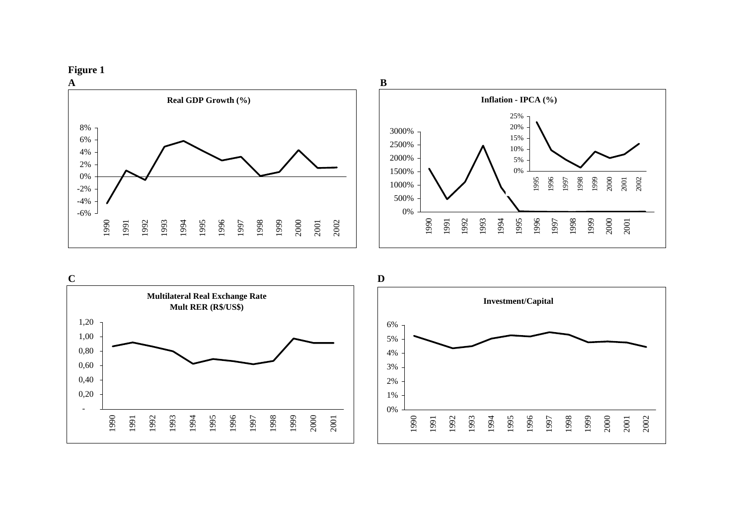







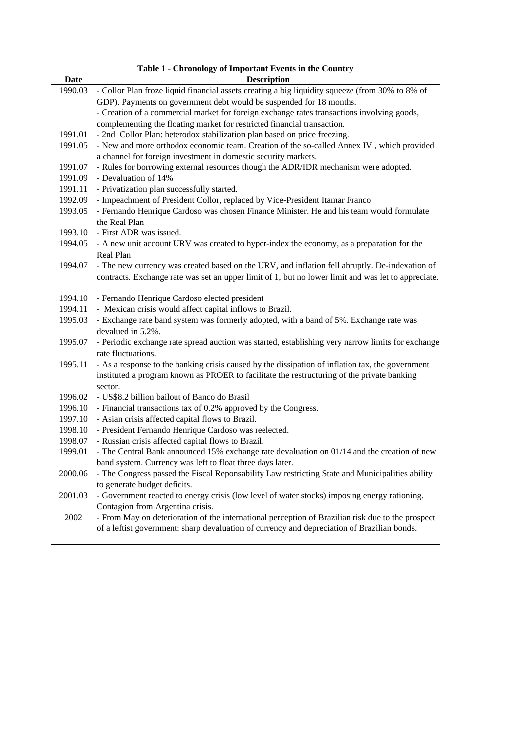| Date               | There is converged to important Events in the country<br><b>Description</b>                                        |
|--------------------|--------------------------------------------------------------------------------------------------------------------|
| 1990.03            | - Collor Plan froze liquid financial assets creating a big liquidity squeeze (from 30% to 8% of                    |
|                    | GDP). Payments on government debt would be suspended for 18 months.                                                |
|                    | - Creation of a commercial market for foreign exchange rates transactions involving goods,                         |
|                    | complementing the floating market for restricted financial transaction.                                            |
| 1991.01            | - 2nd Collor Plan: heterodox stabilization plan based on price freezing.                                           |
| 1991.05            | - New and more orthodox economic team. Creation of the so-called Annex IV, which provided                          |
|                    | a channel for foreign investment in domestic security markets.                                                     |
| 1991.07            | - Rules for borrowing external resources though the ADR/IDR mechanism were adopted.                                |
| 1991.09            | - Devaluation of 14%                                                                                               |
| 1991.11            | - Privatization plan successfully started.                                                                         |
| 1992.09            | - Impeachment of President Collor, replaced by Vice-President Itamar Franco                                        |
| 1993.05            | - Fernando Henrique Cardoso was chosen Finance Minister. He and his team would formulate                           |
|                    | the Real Plan                                                                                                      |
| 1993.10            | - First ADR was issued.                                                                                            |
| 1994.05            | - A new unit account URV was created to hyper-index the economy, as a preparation for the                          |
|                    | Real Plan                                                                                                          |
| 1994.07            | - The new currency was created based on the URV, and inflation fell abruptly. De-indexation of                     |
|                    | contracts. Exchange rate was set an upper limit of 1, but no lower limit and was let to appreciate.                |
|                    |                                                                                                                    |
| 1994.10            | - Fernando Henrique Cardoso elected president                                                                      |
| 1994.11            | - Mexican crisis would affect capital inflows to Brazil.                                                           |
| 1995.03            | - Exchange rate band system was formerly adopted, with a band of 5%. Exchange rate was                             |
|                    | devalued in 5.2%.                                                                                                  |
| 1995.07            | - Periodic exchange rate spread auction was started, establishing very narrow limits for exchange                  |
|                    | rate fluctuations.                                                                                                 |
| 1995.11            | - As a response to the banking crisis caused by the dissipation of inflation tax, the government                   |
|                    | instituted a program known as PROER to facilitate the restructuring of the private banking                         |
|                    | sector.                                                                                                            |
| 1996.02            | - US\$8.2 billion bailout of Banco do Brasil                                                                       |
| 1996.10<br>1997.10 | - Financial transactions tax of 0.2% approved by the Congress.<br>- Asian crisis affected capital flows to Brazil. |
| 1998.10            | - President Fernando Henrique Cardoso was reelected.                                                               |
| 1998.07            | - Russian crisis affected capital flows to Brazil.                                                                 |
| 1999.01            | - The Central Bank announced 15% exchange rate devaluation on 01/14 and the creation of new                        |
|                    | band system. Currency was left to float three days later.                                                          |
| 2000.06            | - The Congress passed the Fiscal Reponsability Law restricting State and Municipalities ability                    |
|                    | to generate budget deficits.                                                                                       |
| 2001.03            | - Government reacted to energy crisis (low level of water stocks) imposing energy rationing.                       |
|                    | Contagion from Argentina crisis.                                                                                   |
| 2002               | - From May on deterioration of the international perception of Brazilian risk due to the prospect                  |
|                    | of a leftist government: sharp devaluation of currency and depreciation of Brazilian bonds.                        |
|                    |                                                                                                                    |

**Table 1 - Chronology of Important Events in the Country**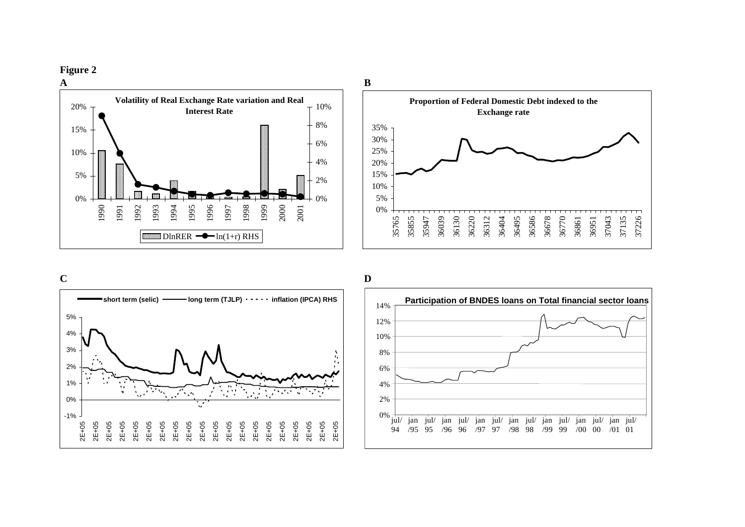**Figure 2**







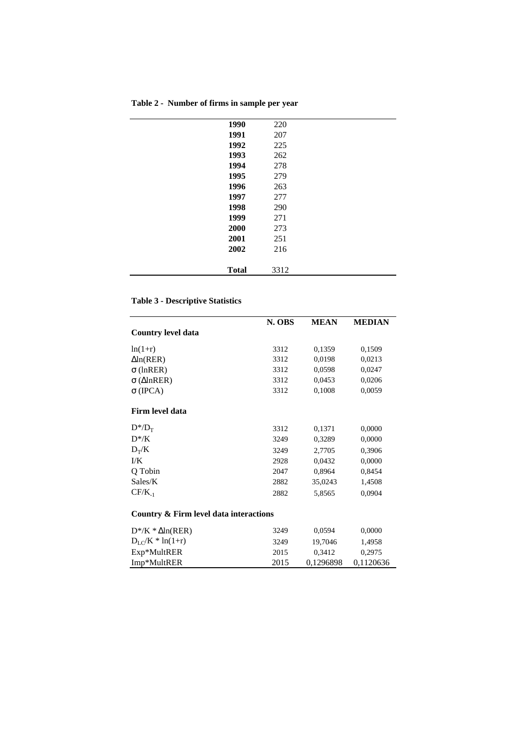| Table 2 - Number of firms in sample per year |  |  |  |
|----------------------------------------------|--|--|--|

| 1990<br>220<br>1991<br>207<br>1992<br>225<br>1993<br>262<br>1994<br>278<br>1995<br>279<br>1996<br>263<br>1997<br>277<br>1998<br>290<br>1999<br>271 |
|----------------------------------------------------------------------------------------------------------------------------------------------------|
|                                                                                                                                                    |
|                                                                                                                                                    |
|                                                                                                                                                    |
|                                                                                                                                                    |
|                                                                                                                                                    |
|                                                                                                                                                    |
|                                                                                                                                                    |
|                                                                                                                                                    |
|                                                                                                                                                    |
|                                                                                                                                                    |
| 2000<br>273                                                                                                                                        |
| 2001<br>251                                                                                                                                        |
| 2002<br>216                                                                                                                                        |
|                                                                                                                                                    |
| <b>Total</b><br>3312                                                                                                                               |

## **Table 3 - Descriptive Statistics**

|                                        | N. OBS | <b>MEAN</b> | <b>MEDIAN</b> |
|----------------------------------------|--------|-------------|---------------|
| <b>Country level data</b>              |        |             |               |
| $ln(1+r)$                              | 3312   | 0,1359      | 0,1509        |
| $\Delta$ ln(RER)                       | 3312   | 0.0198      | 0,0213        |
| $\sigma$ (lnRER)                       | 3312   | 0,0598      | 0,0247        |
| $\sigma$ ( $\triangle$ InRER)          | 3312   | 0,0453      | 0,0206        |
| $\sigma$ (IPCA)                        | 3312   | 0,1008      | 0,0059        |
| Firm level data                        |        |             |               |
| $D^*/D_T$                              | 3312   | 0,1371      | 0,0000        |
| $D^*$ /K                               | 3249   | 0,3289      | 0,0000        |
| $D_T/K$                                | 3249   | 2,7705      | 0,3906        |
| I/K                                    | 2928   | 0,0432      | 0,0000        |
| Q Tobin                                | 2047   | 0,8964      | 0,8454        |
| Sales/K                                | 2882   | 35,0243     | 1,4508        |
| $CF/K_{-1}$                            | 2882   | 5,8565      | 0,0904        |
| Country & Firm level data interactions |        |             |               |
| $D^*$ /K * $\Delta$ ln(RER)            | 3249   | 0,0594      | 0,0000        |
| $D_{LC}/K * ln(1+r)$                   | 3249   | 19,7046     | 1,4958        |
| Exp*MultRER                            | 2015   | 0,3412      | 0,2975        |
| Imp*MultRER                            | 2015   | 0,1296898   | 0,1120636     |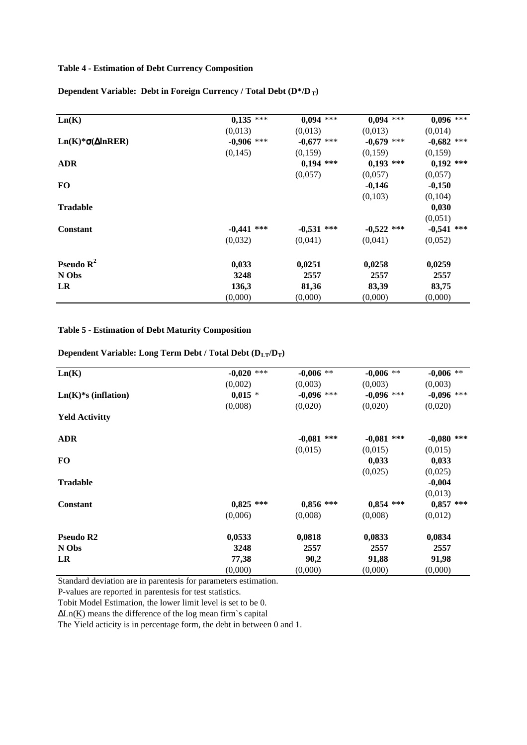## **Table 4 - Estimation of Debt Currency Composition**

**Dependent Variable: Debt in Foreign Currency / Total Debt (D\*/D<sub>T</sub>)** 

| Ln(K)                        | $0,135$ ***  | $0,094$ ***  | $0,094$ ***  | $0,096$ ***  |
|------------------------------|--------------|--------------|--------------|--------------|
|                              | (0,013)      | (0,013)      | (0,013)      | (0,014)      |
| $Ln(K)*\sigma(\Delta InRER)$ | $-0,906$ *** | $-0,677$ *** | $-0,679$ *** | $-0,682$ *** |
|                              | (0,145)      | (0,159)      | (0,159)      | (0,159)      |
| <b>ADR</b>                   |              | $0,194$ ***  | $0,193$ ***  | $0,192$ ***  |
|                              |              | (0,057)      | (0,057)      | (0,057)      |
| <b>FO</b>                    |              |              | $-0,146$     | $-0,150$     |
|                              |              |              | (0,103)      | (0,104)      |
| <b>Tradable</b>              |              |              |              | 0,030        |
|                              |              |              |              | (0,051)      |
| <b>Constant</b>              | $-0,441$ *** | $-0,531$ *** | $-0,522$ *** | $-0,541$ *** |
|                              | (0,032)      | (0,041)      | (0,041)      | (0,052)      |
| <b>Pseudo</b> $\mathbb{R}^2$ | 0,033        | 0,0251       | 0,0258       | 0,0259       |
| N Obs                        | 3248         | 2557         | 2557         | 2557         |
| LR                           | 136,3        | 81,36        | 83,39        | 83,75        |
|                              | (0,000)      | (0,000)      | (0,000)      | (0,000)      |

#### **Table 5 - Estimation of Debt Maturity Composition**

Dependent Variable: Long Term Debt / Total Debt ( $D_{LT}/D_T$ )

| Ln(K)                 | $-0,020$ *** | $-0,006$ **  | $-0,006$ **  | $-0,006$ **  |
|-----------------------|--------------|--------------|--------------|--------------|
|                       | (0,002)      | (0,003)      | (0,003)      | (0,003)      |
| $Ln(K)*s$ (inflation) | $0,015$ *    | $-0,096$ *** | $-0,096$ *** | $-0,096$ *** |
|                       | (0,008)      | (0,020)      | (0,020)      | (0,020)      |
| <b>Yeld Activitty</b> |              |              |              |              |
| <b>ADR</b>            |              | $-0,081$ *** | $-0,081$ *** | $-0,080$ *** |
|                       |              | (0.015)      | (0.015)      | (0,015)      |
| FO                    |              |              | 0,033        | 0,033        |
|                       |              |              | (0,025)      | (0,025)      |
| <b>Tradable</b>       |              |              |              | $-0,004$     |
|                       |              |              |              | (0,013)      |
| <b>Constant</b>       | $0,825$ ***  | $0,856$ ***  | $0,854$ ***  | $0,857$ ***  |
|                       | (0,006)      | (0,008)      | (0,008)      | (0,012)      |
| Pseudo R2             | 0,0533       | 0,0818       | 0,0833       | 0,0834       |
| N Obs                 | 3248         | 2557         | 2557         | 2557         |
| LR                    | 77,38        | 90,2         | 91,88        | 91,98        |
|                       | (0,000)      | (0,000)      | (0,000)      | (0,000)      |

Standard deviation are in parentesis for parameters estimation.

P-values are reported in parentesis for test statistics.

Tobit Model Estimation, the lower limit level is set to be 0.

∆Ln(K) means the difference of the log mean firm`s capital

The Yield acticity is in percentage form, the debt in between 0 and 1.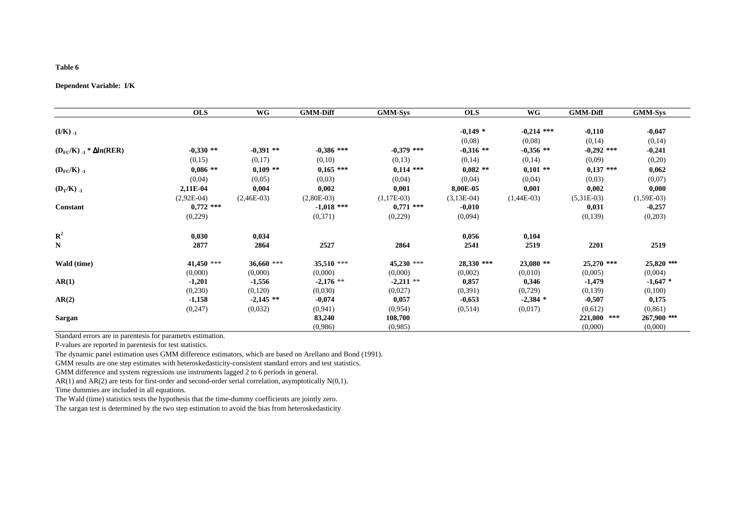## **Dependent Variable: I/K**

|                                          | <b>OLS</b>   | <b>WG</b>    | <b>GMM-Diff</b> | <b>GMM-Sys</b> | <b>OLS</b>    | WG           | <b>GMM-Diff</b> | <b>GMM-Sys</b> |
|------------------------------------------|--------------|--------------|-----------------|----------------|---------------|--------------|-----------------|----------------|
|                                          |              |              |                 |                |               |              |                 |                |
| $(I/K)$ .                                |              |              |                 |                | $-0,149*$     | $-0,214$ *** | $-0,110$        | $-0,047$       |
|                                          |              |              |                 |                | (0,08)        | (0,08)       | (0,14)          | (0,14)         |
| $(D_{\rm FC}/K)_{-1}$ * $\Delta$ ln(RER) | $-0,330$ **  | $-0,391**$   | $-0.386$ ***    | $-0.379$ ***   | $-0,316$ **   | $-0,356$ **  | $-0,292$ ***    | $-0,241$       |
|                                          | (0,15)       | (0,17)       | (0,10)          | (0,13)         | (0,14)        | (0,14)       | (0,09)          | (0,20)         |
| $(D_{\rm FC}/K)$ <sub>-1</sub>           | $0,086$ **   | $0,109$ **   | $0,165$ ***     | $0,114$ ***    | $0,082$ **    | $0,101$ **   | $0,137$ ***     | 0,062          |
|                                          | (0,04)       | (0,05)       | (0,03)          | (0,04)         | (0,04)        | (0,04)       | (0,03)          | (0,07)         |
| $(D_T/K)$ .                              | 2,11E-04     | 0,004        | 0,002           | 0,001          | 8,00E-05      | 0,001        | 0,002           | 0,000          |
|                                          | $(2,92E-04)$ | $(2,46E-03)$ | $(2,80E-03)$    | $(1, 17E-03)$  | $(3, 13E-04)$ | $(1,44E-03)$ | $(5,31E-03)$    | $(1,59E-03)$   |
| Constant                                 | $0,772$ ***  |              | $-1,018$ ***    | $0,771$ ***    | $-0,010$      |              | 0,031           | $-0,257$       |
|                                          | (0,229)      |              | (0,371)         | (0,229)        | (0,094)       |              | (0,139)         | (0,203)        |
| ${\bf R}^2$                              | 0,030        | 0,034        |                 |                | 0,056         | 0,104        |                 |                |
| ${\bf N}$                                | 2877         | 2864         | 2527            | 2864           | 2541          | 2519         | 2201            | 2519           |
| Wald (time)                              | 41,450 ***   | 36,660 ***   | $35,510$ ***    | $45,230$ ***   | 28,330 ***    | $23,080$ **  | 25,270 ***      | 25,820 ***     |
|                                          | (0,000)      | (0,000)      | (0,000)         | (0,000)        | (0,002)       | (0,010)      | (0,005)         | (0,004)        |
| AR(1)                                    | $-1,201$     | $-1,556$     | $-2,176$ **     | $-2,211$ **    | 0,857         | 0,346        | $-1,479$        | $-1,647$ *     |
|                                          | (0,230)      | (0,120)      | (0,030)         | (0,027)        | (0, 391)      | (0,729)      | (0,139)         | (0,100)        |
| AR(2)                                    | $-1,158$     | $-2,145$ **  | $-0,074$        | 0,057          | $-0,653$      | $-2,384$ *   | $-0,507$        | 0,175          |
|                                          | (0, 247)     | (0,032)      | (0, 941)        | (0,954)        | (0,514)       | (0,017)      | (0,612)         | (0, 861)       |
| Sargan                                   |              |              | 83,240          | 108,700        |               |              | 221,000 ***     | 267,900 ***    |
|                                          |              |              | (0,986)         | (0,985)        |               |              | (0,000)         | (0,000)        |

Standard errors are in parentesis for parametrs estimation.

P-values are reported in parentesis for test statistics.

The dynamic panel estimation uses GMM difference estimators, which are based on Arellano and Bond (1991).

GMM results are one step estimates with heteroskedasticity-consistent standard errors and test statistics.

GMM difference and system regressions use instruments lagged 2 to 6 periods in general.

AR(1) and AR(2) are tests for first-order and second-order serial correlation, asymptotically N(0,1). Time dummies are included in all equations.

The Wald (time) statistics tests the hypothesis that the time-dummy coefficients are jointly zero.

The sargan test is determined by the two step estimation to avoid the bias from heteroskedasticity

#### **Table 6**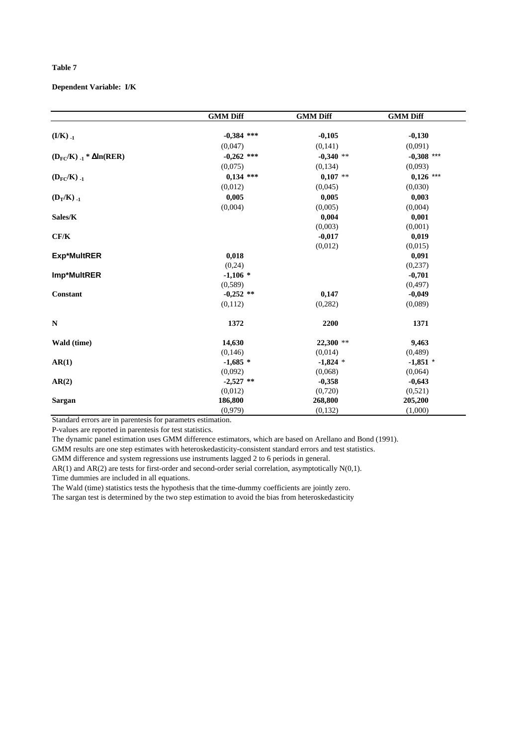**Dependent Variable: I/K** 

|                                    | <b>GMM Diff</b> | <b>GMM Diff</b> | <b>GMM Diff</b> |
|------------------------------------|-----------------|-----------------|-----------------|
|                                    |                 |                 |                 |
| $(I/K)$ .                          | $-0,384$ ***    | $-0,105$        | $-0,130$        |
|                                    | (0,047)         | (0,141)         | (0,091)         |
| $(D_{FC}/K)_{-1} * \Delta ln(RER)$ | $-0,262$ ***    | $-0,340$ **     | $-0,308$ ***    |
|                                    | (0,075)         | (0,134)         | (0,093)         |
| $(D_{FC}/K)$ .                     | $0,134$ ***     | $0,107$ **      | $0,126$ ***     |
|                                    | (0,012)         | (0.045)         | (0,030)         |
| $(D_T/K)$ .                        | 0,005           | 0,005           | 0,003           |
|                                    | (0,004)         | (0,005)         | (0,004)         |
| Sales/K                            |                 | 0,004           | 0,001           |
|                                    |                 | (0,003)         | (0,001)         |
| CF/K                               |                 | $-0,017$        | 0,019           |
|                                    |                 | (0,012)         | (0,015)         |
| <b>Exp*MultRER</b>                 | 0,018           |                 | 0,091           |
|                                    | (0,24)          |                 | (0, 237)        |
| Imp*MultRER                        | $-1,106*$       |                 | $-0,701$        |
|                                    | (0, 589)        |                 | (0, 497)        |
| <b>Constant</b>                    | $-0,252$ **     | 0,147           | $-0,049$        |
|                                    | (0,112)         | (0, 282)        | (0.089)         |
| N                                  | 1372            | 2200            | 1371            |
| Wald (time)                        | 14,630          | $22,300$ **     | 9,463           |
|                                    | (0, 146)        | (0,014)         | (0, 489)        |
| AR(1)                              | $-1,685*$       | $-1,824$ *      | $-1,851$ *      |
|                                    | (0,092)         | (0,068)         | (0,064)         |
| AR(2)                              | $-2,527$ **     | $-0,358$        | $-0,643$        |
|                                    | (0,012)         | (0,720)         | (0,521)         |
| <b>Sargan</b>                      | 186,800         | 268,800         | 205,200         |
|                                    | (0,979)         | (0,132)         | (1,000)         |

Standard errors are in parentesis for parametrs estimation.

P-values are reported in parentesis for test statistics.

The dynamic panel estimation uses GMM difference estimators, which are based on Arellano and Bond (1991).

GMM results are one step estimates with heteroskedasticity-consistent standard errors and test statistics.

GMM difference and system regressions use instruments lagged 2 to 6 periods in general.

AR(1) and AR(2) are tests for first-order and second-order serial correlation, asymptotically N(0,1). Time dummies are included in all equations.

The Wald (time) statistics tests the hypothesis that the time-dummy coefficients are jointly zero. The sargan test is determined by the two step estimation to avoid the bias from heteroskedasticity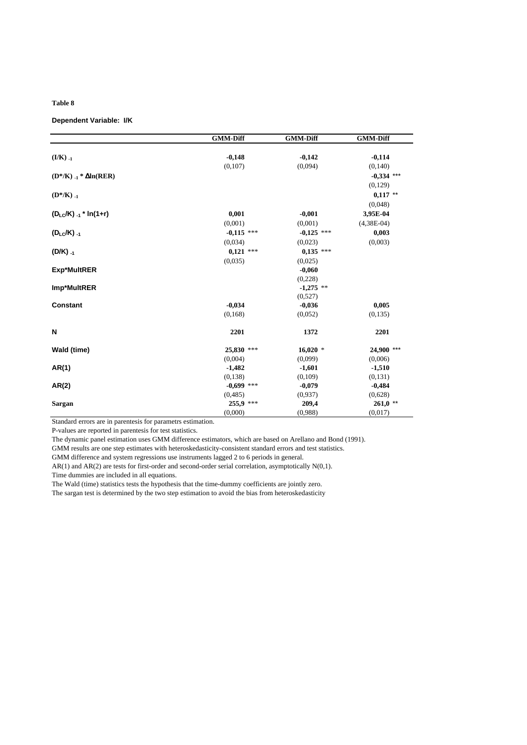#### **Dependent Variable: I/K**

|                                   | <b>GMM-Diff</b>   | <b>GMM-Diff</b> | <b>GMM-Diff</b> |
|-----------------------------------|-------------------|-----------------|-----------------|
|                                   |                   |                 |                 |
| $(I/K)_{-1}$                      | $-0,148$          | $-0,142$        | $-0,114$        |
|                                   | (0,107)           | (0,094)         | (0, 140)        |
| $(D^*/K)_{-1}$ * $\Delta ln(RER)$ |                   |                 | $-0,334$ ***    |
|                                   |                   |                 | (0,129)         |
| $(D^*/K)_{-1}$                    |                   |                 | $0,117$ **      |
|                                   |                   |                 | (0,048)         |
| $(D_{LC}/K)_{-1}$ * ln(1+r)       | 0,001             | $-0,001$        | 3,95E-04        |
|                                   | (0,001)           | (0,001)         | $(4,38E-04)$    |
| $(D_{LC}/K)_{-1}$                 | $-0.115$ ***      | $-0,125$ ***    | 0,003           |
|                                   | (0,034)           | (0,023)         | (0,003)         |
| $(D/K)_{-1}$                      | $0,121$ ***       | $0,135$ ***     |                 |
|                                   | (0.035)           | (0,025)         |                 |
| Exp*MultRER                       |                   | $-0,060$        |                 |
|                                   |                   | (0,228)         |                 |
| Imp*MultRER                       |                   | $-1,275$ **     |                 |
|                                   |                   | (0,527)         |                 |
| <b>Constant</b>                   | $-0,034$          | $-0,036$        | 0,005           |
|                                   | (0, 168)          | (0.052)         | (0.135)         |
|                                   |                   |                 |                 |
| N                                 | 2201              | 1372            | 2201            |
| Wald (time)                       | 25,830<br>$* * *$ | $16,020$ *      | 24,900 ***      |
|                                   | (0,004)           | (0.099)         | (0,006)         |
| AR(1)                             | $-1,482$          | $-1,601$        | $-1,510$        |
|                                   | (0,138)           | (0,109)         | (0,131)         |
| AR(2)                             | $-0,699$ ***      | $-0,079$        | $-0,484$        |
|                                   | (0, 485)          | (0,937)         | (0,628)         |
| Sargan                            | 255,9 ***         | 209,4           | $261,0$ **      |
|                                   | (0,000)           | (0,988)         | (0,017)         |

Standard errors are in parentesis for parametrs estimation.

P-values are reported in parentesis for test statistics.

The dynamic panel estimation uses GMM difference estimators, which are based on Arellano and Bond (1991).

GMM results are one step estimates with heteroskedasticity-consistent standard errors and test statistics.

GMM difference and system regressions use instruments lagged 2 to 6 periods in general.

AR(1) and AR(2) are tests for first-order and second-order serial correlation, asymptotically N(0,1). Time dummies are included in all equations.

The Wald (time) statistics tests the hypothesis that the time-dummy coefficients are jointly zero.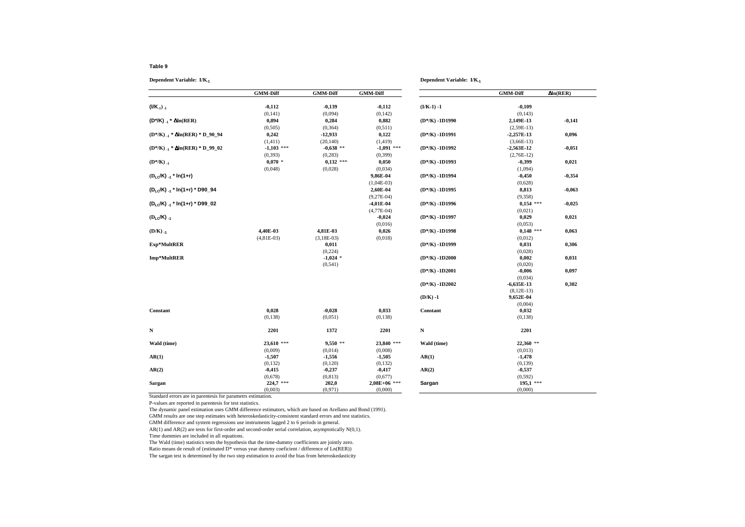**Dependent Variable: I/K-1**

|                                                 | <b>GMM-Diff</b> | <b>GMM-Diff</b> | <b>GMM-Diff</b> |                   | <b>GMM-Diff</b> | $\Delta ln(RER)$ |
|-------------------------------------------------|-----------------|-----------------|-----------------|-------------------|-----------------|------------------|
| $($ I/K <sub>1</sub> ) <sub>-1</sub>            | $-0,112$        | $-0,139$        | $-0,112$        | $(I/K-1) -1$      | $-0,109$        |                  |
|                                                 | (0, 141)        | (0,094)         | (0, 142)        |                   | (0,143)         |                  |
| $(D^*/K)_{-1}$ * $\Delta ln(RER)$               | 0,894           | 0,284           | 0,882           | $(D*/K) - 1D1990$ | 2,149E-13       | $-0,141$         |
|                                                 | (0,505)         | (0, 364)        | (0,511)         |                   | $(2,59E-13)$    |                  |
| $(D^* / K)_{-1}$ * $\Delta ln(RER)$ * $D_90_94$ | 0,242           | $-12,933$       | 0,122           | $(D*/K) - 1D1991$ | $-2,257E-13$    | 0,096            |
|                                                 | (1, 411)        | (20, 140)       | (1, 419)        |                   | $(3,66E-13)$    |                  |
| $(D^* / K)_{-1}$ * $\Delta ln(RER)$ * $D_99_02$ | $-1,103$ ***    | $-0.638$ **     | $-1.091$ ***    | $(D*/K) - 1D1992$ | $-2,563E-12$    | $-0,051$         |
|                                                 | (0, 393)        | (0, 283)        | (0, 399)        |                   | $(2,76E-12)$    |                  |
| $(D^*/K)_{-1}$                                  | $0,070$ *       | $0,132$ ***     | 0,050           | $(D*/K) - 1D1993$ | $-0,399$        | 0,021            |
|                                                 | (0,048)         | (0,028)         | (0,034)         |                   | (1,094)         |                  |
| $(D_{LO}/K)_{-1}$ * In(1+r)                     |                 |                 | 9,86E-04        | $(D*/K) - 1D1994$ | $-0,450$        | $-0,354$         |
|                                                 |                 |                 |                 |                   |                 |                  |
|                                                 |                 |                 | $(1,04E-03)$    |                   | (0,628)         |                  |
| (DLc/K) .1 * In(1+r) * D90_94                   |                 |                 | 2,60E-04        | $(D*/K) - 1D1995$ | 8,813           | $-0,063$         |
|                                                 |                 |                 | $(9,27E-04)$    |                   | (9, 358)        |                  |
| $(D_1 C/K)$ $A^*$ ln(1+r) * D99_02              |                 |                 | $-4,01E-04$     | $(D*/K) - 1D1996$ | $0,154$ ***     | $-0,025$         |
|                                                 |                 |                 | $(4,77E-04)$    |                   | (0,021)         |                  |
| $(D_{LC}/K)$ <sub>-1</sub>                      |                 |                 | $-0,024$        | $(D*/K) - 1D1997$ | 0,029           | 0,021            |
|                                                 |                 |                 | (0,016)         |                   | (0,053)         |                  |
| $(D/K)$ <sub>-1</sub>                           | 4,40E-03        | 4,81E-03        | 0,026           | $(D*/K) - 1D1998$ | $0,148$ ***     | 0,063            |
|                                                 | $(4,81E-03)$    | $(3, 18E-03)$   | (0,018)         |                   | (0,012)         |                  |
| Exp*MultRER                                     |                 | 0,011           |                 | $(D*/K) - 1D1999$ | 0,031           | 0,306            |
|                                                 |                 | (0,224)         |                 |                   | (0,028)         |                  |
| Imp*MultRER                                     |                 | $-1,024$ *      |                 | $(D*/K) - 1D2000$ | 0,002           | 0,031            |
|                                                 |                 | (0, 541)        |                 |                   | (0,020)         |                  |
|                                                 |                 |                 |                 | $(D*/K) - 1D2001$ | $-0,006$        | 0,097            |
|                                                 |                 |                 |                 |                   | (0,034)         |                  |
|                                                 |                 |                 |                 | $(D*/K) - 1D2002$ | $-6,635E-13$    | 0,302            |
|                                                 |                 |                 |                 |                   | $(8, 12E-13)$   |                  |
|                                                 |                 |                 |                 | $(D/K) -1$        | 9,652E-04       |                  |
|                                                 |                 |                 |                 |                   | (0,004)         |                  |
| Constant                                        | 0,028           | $-0,028$        | 0,033           | Constant          | 0,032           |                  |
|                                                 | (0, 138)        | (0,051)         | (0, 138)        |                   | (0, 138)        |                  |
| $\mathbf N$                                     | 2201            | 1372            | 2201            | $\mathbf N$       | 2201            |                  |
| Wald (time)                                     | $23,610$ ***    | $9,550$ **      | 23,840 ***      | Wald (time)       | 22,360 **       |                  |
|                                                 | (0,009)         | (0,014)         | (0,008)         |                   | (0,013)         |                  |
| AR(1)                                           | $-1,507$        | $-1,556$        | $-1,505$        | AR(1)             | $-1,478$        |                  |
|                                                 | (0, 132)        | (0,120)         | (0, 132)        |                   | (0, 139)        |                  |
| AR(2)                                           | $-0,415$        | $-0,237$        | $-0,417$        | AR(2)             | $-0,537$        |                  |
|                                                 | (0.678)         | (0, 813)        | (0,677)         |                   | (0, 592)        |                  |
| Sargan                                          | $224,7$ ***     | 202,0           | $2,08E+06$ ***  | Sargan            | $195,1$ ***     |                  |
|                                                 | (0,003)         | (0,971)         | (0,000)         |                   | (0,000)         |                  |

**Dependent Variable: I/K-1**

Standard errors are in parentesis for parametrs estimation.

P-values are reported in parentesis for test statistics.

The dynamic panel estimation uses GMM difference estimators, which are based on Arellano and Bond (1991).

GMM results are one step estimates with heteroskedasticity-consistent standard errors and test statistics.

GMM difference and system regressions use instruments lagged 2 to 6 periods in general.

AR(1) and AR(2) are tests for first-order and second-order serial correlation, asymptotically N(0,1). Time dummies are included in all equations.

The Wald (time) statistics tests the hypothesis that the time-dummy coefficients are jointly zero.

Ratio means de result of (estimated D\* versus year dummy coeficient / difference of Ln(RER))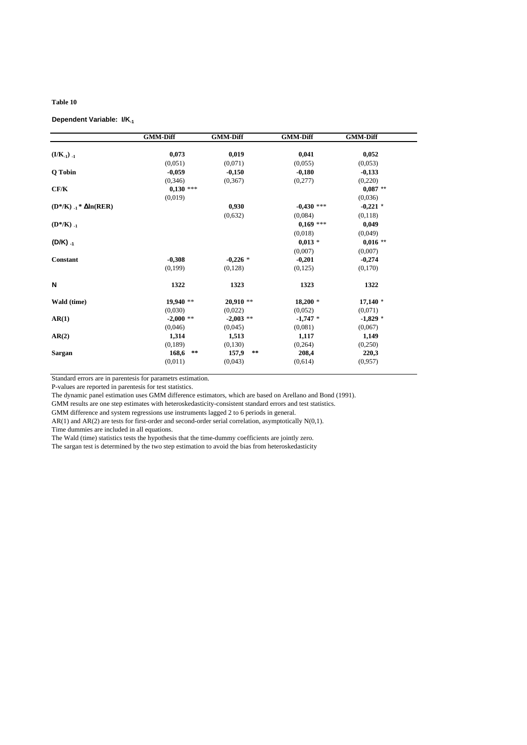#### **Dependent Variable: I/K-1**

|                                               | <b>GMM-Diff</b>     | <b>GMM-Diff</b>     | <b>GMM-Diff</b> | <b>GMM-Diff</b> |
|-----------------------------------------------|---------------------|---------------------|-----------------|-----------------|
|                                               |                     |                     |                 |                 |
| $(1/K_{-1})_{-1}$                             | 0,073               | 0,019               | 0,041           | 0,052           |
|                                               | (0.051)             | (0,071)             | (0,055)         | (0,053)         |
| Q Tobin                                       | $-0,059$            | $-0,150$            | $-0,180$        | $-0,133$        |
|                                               | (0, 346)            | (0.367)             | (0,277)         | (0,220)         |
| CF/K                                          | $0,130$ ***         |                     |                 | $0,087$ **      |
|                                               | (0,019)             |                     |                 | (0,036)         |
| $(D^* / K)$ . <sub>1</sub> * $\Delta ln(RER)$ |                     | 0,930               | $-0,430$ ***    | $-0,221$ *      |
|                                               |                     | (0,632)             | (0.084)         | (0,118)         |
| $(D^*/K)_{-1}$                                |                     |                     | $0,169$ ***     | 0,049           |
|                                               |                     |                     | (0,018)         | (0,049)         |
| $(D/K)_{-1}$                                  |                     |                     | $0,013$ *       | $0,016$ **      |
|                                               |                     |                     | (0,007)         | (0,007)         |
| Constant                                      | $-0,308$            | $-0,226*$           | $-0,201$        | $-0,274$        |
|                                               | (0,199)             | (0,128)             | (0,125)         | (0,170)         |
| N                                             | 1322                | 1323                | 1323            | 1322            |
| Wald (time)                                   | 19,940 **           | $20,910**$          | $18,200*$       | $17,140$ *      |
|                                               | (0,030)             | (0,022)             | (0,052)         | (0,071)         |
| AR(1)                                         | $-2,000$ **         | $-2,003$ **         | $-1,747$ *      | $-1,829$ *      |
|                                               | (0,046)             | (0.045)             | (0,081)         | (0,067)         |
| AR(2)                                         | 1,314               | 1,513               | 1,117           | 1,149           |
|                                               | (0,189)             | (0,130)             | (0, 264)        | (0,250)         |
| Sargan                                        | 168,6<br>$\ast\ast$ | 157,9<br>$\ast\ast$ | 208,4           | 220,3           |
|                                               | (0,011)             | (0,043)             | (0,614)         | (0,957)         |
|                                               |                     |                     |                 |                 |

Standard errors are in parentesis for parametrs estimation.

P-values are reported in parentesis for test statistics.

The dynamic panel estimation uses GMM difference estimators, which are based on Arellano and Bond (1991).

GMM results are one step estimates with heteroskedasticity-consistent standard errors and test statistics.

GMM difference and system regressions use instruments lagged 2 to 6 periods in general.

AR(1) and AR(2) are tests for first-order and second-order serial correlation, asymptotically N(0,1).

Time dummies are included in all equations.

The Wald (time) statistics tests the hypothesis that the time-dummy coefficients are jointly zero.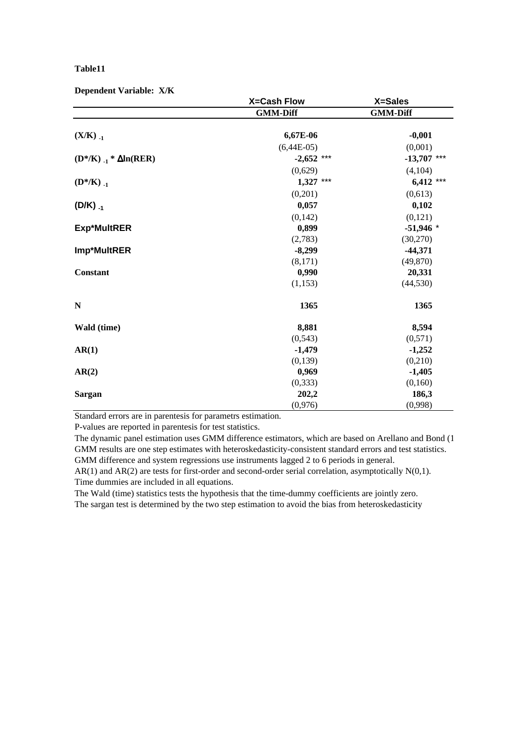#### **Dependent Variable: X/K**

|                                 | <b>X=Cash Flow</b> | X=Sales         |
|---------------------------------|--------------------|-----------------|
|                                 | <b>GMM-Diff</b>    | <b>GMM-Diff</b> |
|                                 |                    |                 |
| $(X/K)_{-1}$                    | 6,67E-06           | $-0,001$        |
|                                 | $(6,44E-05)$       | (0,001)         |
| $(D^*/K)_{-1} * \Delta ln(RER)$ | $-2,652$ ***       | $-13,707$ ***   |
|                                 | (0,629)            | (4,104)         |
| $(D^*/K)_{-1}$                  | $1,327$ ***        | $6,412$ ***     |
|                                 | (0,201)            | (0,613)         |
| $(D/K)_{-1}$                    | 0,057              | 0,102           |
|                                 | (0, 142)           | (0,121)         |
| <b>Exp*MultRER</b>              | 0,899              | $-51,946$ *     |
|                                 | (2,783)            | (30,270)        |
| Imp*MultRER                     | $-8,299$           | $-44,371$       |
|                                 | (8,171)            | (49, 870)       |
| <b>Constant</b>                 | 0,990              | 20,331          |
|                                 | (1, 153)           | (44, 530)       |
| $\mathbb N$                     | 1365               | 1365            |
| Wald (time)                     | 8,881              | 8,594           |
|                                 | (0, 543)           | (0,571)         |
| AR(1)                           | $-1,479$           | $-1,252$        |
|                                 | (0, 139)           | (0, 210)        |
| AR(2)                           | 0,969              | $-1,405$        |
|                                 | (0, 333)           | (0,160)         |
| <b>Sargan</b>                   | 202,2              | 186,3           |
|                                 | (0,976)            | (0,998)         |

Standard errors are in parentesis for parametrs estimation.

P-values are reported in parentesis for test statistics.

The dynamic panel estimation uses GMM difference estimators, which are based on Arellano and Bond (1 GMM results are one step estimates with heteroskedasticity-consistent standard errors and test statistics. GMM difference and system regressions use instruments lagged 2 to 6 periods in general.

AR(1) and AR(2) are tests for first-order and second-order serial correlation, asymptotically N(0,1). Time dummies are included in all equations.

The Wald (time) statistics tests the hypothesis that the time-dummy coefficients are jointly zero. The sargan test is determined by the two step estimation to avoid the bias from heteroskedasticity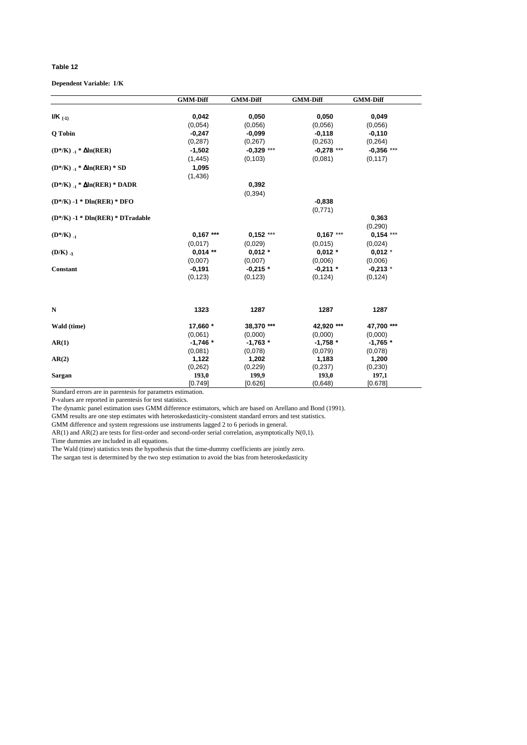#### **Dependent Variable: I/K**

|                                        | <b>GMM-Diff</b> | <b>GMM-Diff</b> | <b>GMM-Diff</b> | <b>GMM-Diff</b> |
|----------------------------------------|-----------------|-----------------|-----------------|-----------------|
| $I/K$ (-1)                             | 0,042           | 0,050           | 0,050           | 0,049           |
|                                        | (0.054)         | (0.056)         | (0.056)         | (0.056)         |
| Q Tobin                                | $-0,247$        | $-0,099$        | $-0,118$        | $-0,110$        |
|                                        | (0, 287)        | (0, 267)        | (0, 263)        | (0, 264)        |
| $(D^*/K)_{-1} * \Delta ln(RER)$        | $-1,502$        | $-0,329$ ***    | $-0,278$ ***    | $-0,356$ ***    |
|                                        | (1, 445)        | (0, 103)        | (0,081)         | (0, 117)        |
| $(D^* / K)_{-1} * \Delta ln(RER) * SD$ | 1,095           |                 |                 |                 |
|                                        | (1,436)         |                 |                 |                 |
| $(D^*/K)_{-1} * \Delta ln(RER) * DADR$ |                 | 0,392           |                 |                 |
|                                        |                 | (0, 394)        |                 |                 |
| $(D*/K) - 1 * Dln(RER) * DFO$          |                 |                 | $-0,838$        |                 |
|                                        |                 |                 | (0,771)         |                 |
| $(D^* / K) - 1 * Dln(RER) * DTradable$ |                 |                 |                 | 0,363           |
|                                        |                 |                 |                 | (0, 290)        |
| $(D^*/K)_{-1}$                         | $0,167***$      | $0,152***$      | $0,167***$      | $0,154$ ***     |
|                                        | (0,017)         | (0,029)         | (0,015)         | (0,024)         |
|                                        | $0.014**$       | $0.012 *$       | $0,012$ *       |                 |
| $(D/K)$ <sub>-1</sub>                  |                 |                 |                 | $0,012$ *       |
|                                        | (0,007)         | (0,007)         | (0,006)         | (0,006)         |
| Constant                               | $-0,191$        | $-0,215$ *      | $-0,211$ *      | $-0,213$ *      |
|                                        | (0, 123)        | (0, 123)        | (0, 124)        | (0, 124)        |
| N                                      | 1323            | 1287            | 1287            | 1287            |
| Wald (time)                            | 17,660 *        | 38,370 ***      | 42,920 ***      | 47,700 ***      |
|                                        | (0.061)         | (0,000)         | (0,000)         | (0,000)         |
| AR(1)                                  | $-1,746$ *      | $-1,763*$       | $-1,758$ *      | $-1,765*$       |
|                                        | (0.081)         | (0,078)         | (0,079)         | (0,078)         |
| AR(2)                                  | 1,122           | 1,202           | 1,183           | 1,200           |
|                                        | (0, 262)        | (0, 229)        | (0, 237)        | (0, 230)        |
| Sargan                                 | 193,0           | 199,9           | 193,0           | 197,1           |
|                                        | [0.749]         | [0.626]         | (0,648)         | [0.678]         |

Standard errors are in parentesis for parametrs estimation.

P-values are reported in parentesis for test statistics.

The dynamic panel estimation uses GMM difference estimators, which are based on Arellano and Bond (1991).

GMM results are one step estimates with heteroskedasticity-consistent standard errors and test statistics.

GMM difference and system regressions use instruments lagged 2 to 6 periods in general.

 $AR(1)$  and  $AR(2)$  are tests for first-order and second-order serial correlation, asymptotically  $N(0,1)$ .

Time dummies are included in all equations.

The Wald (time) statistics tests the hypothesis that the time-dummy coefficients are jointly zero.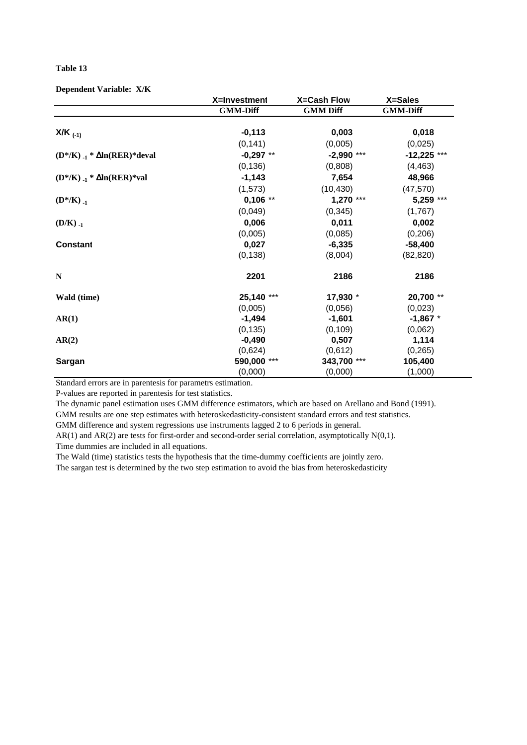## **Dependent Variable: X/K**

|                                         | X=Investment    | <b>X=Cash Flow</b> | X=Sales         |
|-----------------------------------------|-----------------|--------------------|-----------------|
|                                         | <b>GMM-Diff</b> | <b>GMM Diff</b>    | <b>GMM-Diff</b> |
| $X/K$ <sub>(-1)</sub>                   | $-0,113$        | 0,003              | 0,018           |
|                                         | (0, 141)        | (0,005)            | (0,025)         |
| $(D^*/K)_{-1} * \Delta ln(RER)^*$ deval | $-0,297$ **     | $-2,990$ ***       | $-12,225$ ***   |
|                                         | (0, 136)        | (0,808)            | (4, 463)        |
| $(D^*/K)_{-1} * \Delta ln(RER)*val$     | $-1,143$        | 7,654              | 48,966          |
|                                         | (1, 573)        | (10, 430)          | (47, 570)       |
| $(D^*/K)_{-1}$                          | $0,106$ **      | $1,270$ ***        | 5,259 ***       |
|                                         | (0,049)         | (0, 345)           | (1,767)         |
| $(D/K)_{-1}$                            | 0,006           | 0,011              | 0,002           |
|                                         | (0,005)         | (0,085)            | (0, 206)        |
| <b>Constant</b>                         | 0,027           | $-6,335$           | $-58,400$       |
|                                         | (0, 138)        | (8,004)            | (82, 820)       |
| $\mathbf N$                             | 2201            | 2186               | 2186            |
| Wald (time)                             | 25,140 ***      | 17,930 *           | 20,700 **       |
|                                         | (0,005)         | (0,056)            | (0,023)         |
| AR(1)                                   | $-1,494$        | $-1,601$           | $-1,867$ *      |
|                                         | (0, 135)        | (0, 109)           | (0,062)         |
| AR(2)                                   | $-0,490$        | 0,507              | 1,114           |
|                                         | (0,624)         | (0,612)            | (0, 265)        |
| <b>Sargan</b>                           | 590,000 ***     | 343,700 ***        | 105,400         |
|                                         | (0,000)         | (0,000)            | (1,000)         |

Standard errors are in parentesis for parametrs estimation.

P-values are reported in parentesis for test statistics.

The dynamic panel estimation uses GMM difference estimators, which are based on Arellano and Bond (1991).

GMM results are one step estimates with heteroskedasticity-consistent standard errors and test statistics.

GMM difference and system regressions use instruments lagged 2 to 6 periods in general.

AR(1) and AR(2) are tests for first-order and second-order serial correlation, asymptotically N(0,1). Time dummies are included in all equations.

The Wald (time) statistics tests the hypothesis that the time-dummy coefficients are jointly zero.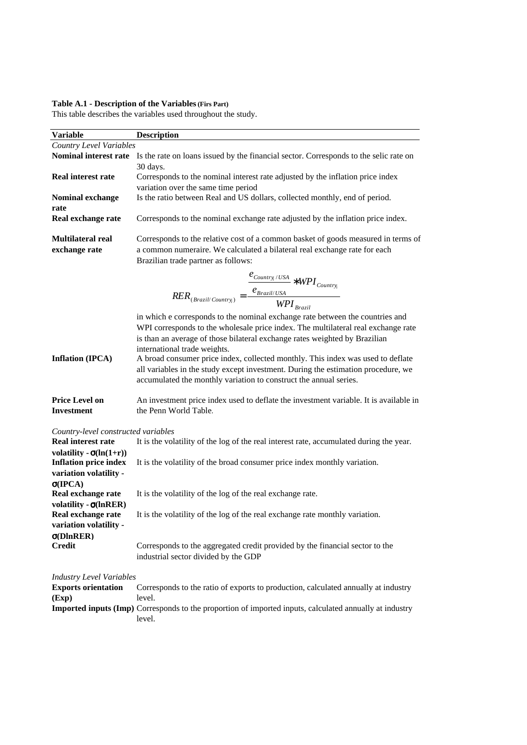#### **Table A.1 - Description of the Variables (Firs Part)**

This table describes the variables used throughout the study.

| <b>Variable</b>                     | <b>Description</b>                                                                                          |
|-------------------------------------|-------------------------------------------------------------------------------------------------------------|
| Country Level Variables             |                                                                                                             |
| Nominal interest rate               | Is the rate on loans issued by the financial sector. Corresponds to the selic rate on                       |
|                                     | 30 days.                                                                                                    |
| <b>Real interest rate</b>           | Corresponds to the nominal interest rate adjusted by the inflation price index                              |
|                                     | variation over the same time period                                                                         |
| Nominal exchange                    | Is the ratio between Real and US dollars, collected monthly, end of period.                                 |
| rate                                |                                                                                                             |
| Real exchange rate                  | Corresponds to the nominal exchange rate adjusted by the inflation price index.                             |
| <b>Multilateral real</b>            | Corresponds to the relative cost of a common basket of goods measured in terms of                           |
| exchange rate                       | a common numeraire. We calculated a bilateral real exchange rate for each                                   |
|                                     | Brazilian trade partner as follows:                                                                         |
|                                     |                                                                                                             |
|                                     | $RER_{(Brazil/Country)} = \frac{\dfrac{e_{Country_i/USA}}{e_{Brazil/USA}} * WPI_{Country_i}}{WPI_{Brazil}}$ |
|                                     |                                                                                                             |
|                                     |                                                                                                             |
|                                     | in which e corresponds to the nominal exchange rate between the countries and                               |
|                                     | WPI corresponds to the wholesale price index. The multilateral real exchange rate                           |
|                                     | is than an average of those bilateral exchange rates weighted by Brazilian                                  |
|                                     | international trade weights.                                                                                |
| <b>Inflation (IPCA)</b>             | A broad consumer price index, collected monthly. This index was used to deflate                             |
|                                     | all variables in the study except investment. During the estimation procedure, we                           |
|                                     | accumulated the monthly variation to construct the annual series.                                           |
| <b>Price Level on</b>               | An investment price index used to deflate the investment variable. It is available in                       |
| <b>Investment</b>                   | the Penn World Table.                                                                                       |
|                                     |                                                                                                             |
| Country-level constructed variables |                                                                                                             |
| <b>Real interest rate</b>           | It is the volatility of the log of the real interest rate, accumulated during the year.                     |
| volatility - $\sigma$ (ln(1+r))     |                                                                                                             |
| <b>Inflation price index</b>        | It is the volatility of the broad consumer price index monthly variation.                                   |
| variation volatility -              |                                                                                                             |
| $\sigma(IPCA)$                      |                                                                                                             |
| Real exchange rate                  | It is the volatility of the log of the real exchange rate.                                                  |
| volatility - $\sigma$ (lnRER)       |                                                                                                             |
| Real exchange rate                  | It is the volatility of the log of the real exchange rate monthly variation.                                |
| variation volatility -              |                                                                                                             |
| $\sigma$ (DlnRER)<br><b>Credit</b>  | Corresponds to the aggregated credit provided by the financial sector to the                                |
|                                     | industrial sector divided by the GDP                                                                        |
|                                     |                                                                                                             |
| <b>Industry Level Variables</b>     |                                                                                                             |
| <b>Exports orientation</b>          | Corresponds to the ratio of exports to production, calculated annually at industry                          |
| (Exp)                               | level.                                                                                                      |
|                                     | Imported inputs (Imp) Corresponds to the proportion of imported inputs, calculated annually at industry     |
|                                     | level.                                                                                                      |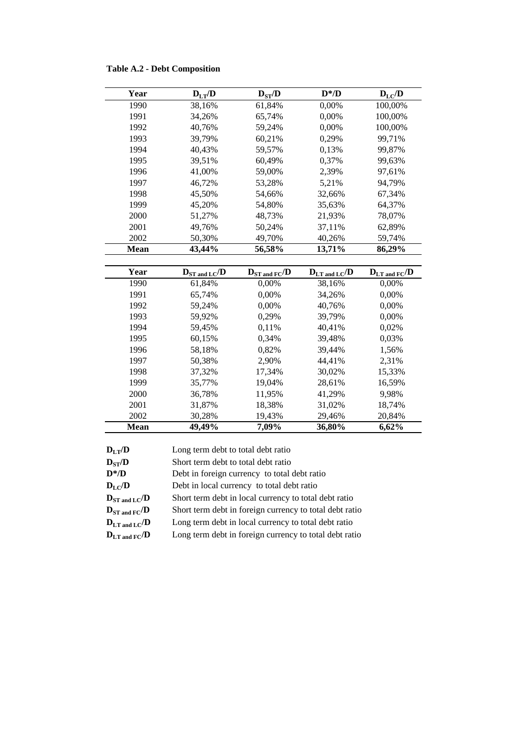|  |  |  |  | <b>Table A.2 - Debt Composition</b> |
|--|--|--|--|-------------------------------------|
|--|--|--|--|-------------------------------------|

| Year        | $\mathbf{D}_{\text{LT}}\!/\!\mathbf{D}$ | $\mathbf{D}_{\mathrm{ST}} / \mathbf{D}$ | $D^* / D$                  | $\mathbf{D}_{\rm LC}/\mathbf{D}$ |
|-------------|-----------------------------------------|-----------------------------------------|----------------------------|----------------------------------|
| 1990        | 38,16%                                  | 61,84%                                  | 0,00%                      | 100,00%                          |
| 1991        | 34,26%                                  | 65,74%                                  | 0,00%                      | 100,00%                          |
| 1992        | 40,76%                                  | 59,24%                                  | 0,00%                      | 100,00%                          |
| 1993        | 39,79%                                  | 60,21%                                  | 0,29%                      | 99,71%                           |
| 1994        | 40,43%                                  | 59,57%                                  | 0,13%                      | 99,87%                           |
| 1995        | 39,51%                                  | 60,49%                                  | 0,37%                      | 99,63%                           |
| 1996        | 41,00%                                  | 59,00%                                  | 2,39%                      | 97,61%                           |
| 1997        | 46,72%                                  | 53,28%                                  | 5,21%                      | 94,79%                           |
| 1998        | 45,50%                                  | 54,66%                                  | 32,66%                     | 67,34%                           |
| 1999        | 45,20%                                  | 54,80%                                  | 35,63%                     | 64,37%                           |
| 2000        | 51,27%                                  | 48,73%                                  | 21,93%                     | 78,07%                           |
| 2001        | 49,76%                                  | 50,24%                                  | 37,11%                     | 62,89%                           |
| 2002        | 50,30%                                  | 49,70%                                  | 40,26%                     | 59,74%                           |
| <b>Mean</b> | 43,44%                                  | 56,58%                                  | 13,71%                     | 86,29%                           |
|             |                                         |                                         |                            |                                  |
|             |                                         |                                         |                            |                                  |
| Year        | $D_{ST \text{ and } LC}/D$              | $D_{ST \text{ and } FC}$ /D             | $D_{LT \text{ and } LC}/D$ | $D_{LT \text{ and } FC}/D$       |
| 1990        | 61,84%                                  | 0,00%                                   | 38,16%                     | 0,00%                            |
| 1991        | 65,74%                                  | 0,00%                                   | 34,26%                     | 0,00%                            |
| 1992        | 59,24%                                  | 0,00%                                   | 40,76%                     | 0,00%                            |
| 1993        | 59,92%                                  | 0,29%                                   | 39,79%                     | 0,00%                            |
| 1994        | 59,45%                                  | 0,11%                                   | 40,41%                     | 0,02%                            |
| 1995        | 60,15%                                  | 0,34%                                   | 39,48%                     | 0,03%                            |
| 1996        | 58,18%                                  | 0,82%                                   | 39,44%                     | 1,56%                            |
| 1997        | 50,38%                                  | 2,90%                                   | 44,41%                     | 2,31%                            |
| 1998        | 37,32%                                  | 17,34%                                  | 30,02%                     | 15,33%                           |
| 1999        | 35,77%                                  | 19,04%                                  | 28,61%                     | 16,59%                           |
| 2000        | 36,78%                                  | 11,95%                                  | 41,29%                     | 9,98%                            |
| 2001        | 31,87%                                  | 18,38%                                  | 31,02%                     | 18,74%                           |
| 2002        | 30,28%                                  | 19,43%                                  | 29,46%                     | 20,84%                           |

| $D_{L,T}/D$                                  | Long term debt to total debt ratio                      |
|----------------------------------------------|---------------------------------------------------------|
| $D_{ST}/D$                                   | Short term debt to total debt ratio                     |
| $D^* / D$                                    | Debt in foreign currency to total debt ratio            |
| $D_{LC}/D$                                   | Debt in local currency to total debt ratio              |
| $D_{ST \text{ and } LC}/D$                   | Short term debt in local currency to total debt ratio   |
| $\mathbf{D}_{ST \text{ and } FC}/\mathbf{D}$ | Short term debt in foreign currency to total debt ratio |
| $D_{LT \text{ and } LC}/D$                   | Long term debt in local currency to total debt ratio    |
| ${\bf D}_{\rm LT\ and\ FC}/{\bf D}$          | Long term debt in foreign currency to total debt ratio  |
|                                              |                                                         |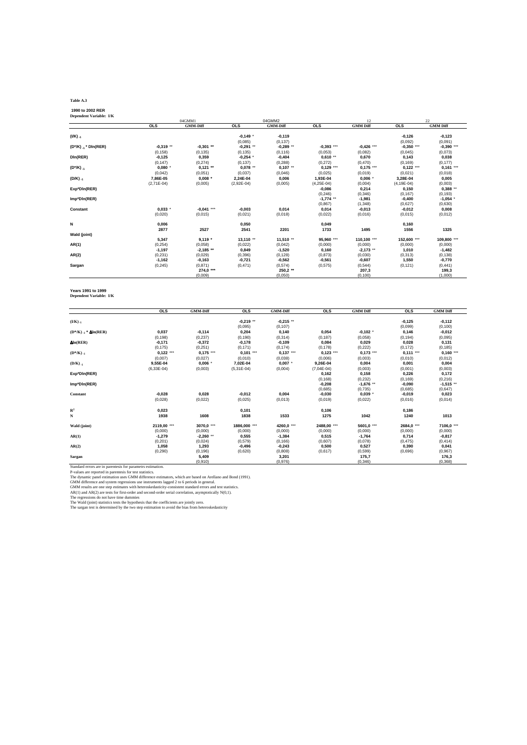#### **Table A.3**

 **1990 to 2002 RER Dependent Variable: I/K** 

|                           |              | 04GMM1          |              | 04GMM2          |              | 12              |                 | 22              |
|---------------------------|--------------|-----------------|--------------|-----------------|--------------|-----------------|-----------------|-----------------|
|                           | <b>OLS</b>   | <b>GMM-Diff</b> | <b>OLS</b>   | <b>GMM-Diff</b> | <b>OLS</b>   | <b>GMM</b> Diff | <b>OLS</b>      | <b>GMM Diff</b> |
| $(1/K)_{-1}$              |              |                 | $-0.149$ *   | $-0,119$        |              |                 | $-0,126$        | $-0,123$        |
|                           |              |                 | (0.085)      | (0, 137)        |              |                 | (0,092)         | (0,091)         |
| $(D^*/K)_{-1}$ * Din(RER) | $-0,319$ **  | $-0,301$ **     | $-0,291$ **  | $-0,289$ **     | $-0,393$ *** | $-0,426$ ***    | $-0,350$ ***    | $-0,390$ ***    |
|                           | (0, 158)     | (0, 135)        | (0, 135)     | (0, 116)        | (0,053)      | (0.082)         | (0.045)         | (0,073)         |
| DIn(RER)                  | $-0,125$     | 0,359           | $-0,254$ *   | $-0,404$        | $0.610**$    | 0,670           | 0,143           | 0,038           |
|                           | (0, 147)     | (0, 274)        | (0, 137)     | (0, 288)        | (0,272)      | (0,470)         | (0, 169)        | (0, 177)        |
| (D*/K).1                  | 0,080        | $0,121$ **      | $0.078**$    | $0.107**$       | $0.129***$   | $0,175***$      | $0.122***$      | $0,161$ ***     |
|                           | (0,042)      | (0,051)         | (0.037)      | (0,046)         | (0,025)      | (0.019)         | (0.021)         | (0,018)         |
| $(D/K)_{-1}$              | 7,86E-05     | $0.008$ *       | 2,24E-04     | 0,006           | 1,93E-04     | $0,006$ *       | 3,28E-04        | 0,005           |
|                           | $(2,71E-04)$ | (0,005)         | $(2,92E-04)$ | (0,005)         | $(4,25E-04)$ | (0,004)         | $(4, 19E - 04)$ | (0,003)         |
| Exp*DIn(RER)              |              |                 |              |                 | $-0,086$     | 0,214           | 0,150           | $0,388$ **      |
|                           |              |                 |              |                 | (0, 246)     | (0, 346)        | (0, 167)        | (0, 193)        |
| Imp*DIn(RER)              |              |                 |              |                 | $-1,774$ **  | $-1,981$        | $-0,400$        | $-1,054$ *      |
|                           |              |                 |              |                 | (0, 867)     | (1, 348)        | (0,627)         | (0,630)         |
| Constant                  | 0.033        | $-0,041$ ***    | $-0,003$     | 0,014           | 0.014        | $-0,013$        | $-0,012$        | 0,008           |
|                           | (0,020)      | (0,015)         | (0,021)      | (0,018)         | (0,022)      | (0,016)         | (0,015)         | (0,012)         |
|                           |              |                 |              |                 |              |                 |                 |                 |
| N                         | 0,006        |                 | 0,050        |                 | 0,049        |                 | 0,160           |                 |
|                           | 2877         | 2527            | 2541         | 2201            | 1733         | 1495            | 1556            | 1325            |
| Wald (joint)              |              |                 |              |                 |              |                 |                 |                 |
|                           | 5,347        | $9,119*$        | 13,110 **    | 11,510 **       | 95,960 ***   | 110,100 ***     | 152,600 ***     | 109,800 ***     |
| AR(1)                     | (0, 254)     | (0.058)         | (0.022)      | (0,042)         | (0,000)      | (0,000)         | (0,000)         | (0,000)         |
|                           | $-1,197$     | $-2.185**$      | 0,849        | $-1,520$        | 0.160        | $-2,173$ **     | 1,010           | $-1,482$        |
| AR(2)                     | (0, 231)     | (0,029)         | (0.396)      | (0, 128)        | (0, 873)     | (0,030)         | (0,313)         | (0, 138)        |
|                           | $-1,162$     | $-0,163$        | $-0.721$     | $-0,562$        | $-0.561$     | $-0,607$        | 1,550           | $-0,770$        |
| Sargan                    | (0, 245)     | (0, 871)        | (0,471)      | (0,574)         | (0, 575)     | (0, 544)        | (0, 121)        | (0, 441)        |
|                           |              | 274,0 ***       |              | 250,2 **        |              | 207,3           |                 | 199,3           |
|                           |              | (0,009)         |              | (0,050)         |              | (0, 100)        |                 | (1,000)         |

#### **Years 1991 to 1999 Dependent Variable: I/K**

|                                   | <b>OLS</b>   | <b>GMM-Diff</b> | <b>OLS</b>   | <b>GMM-Diff</b> | <b>OLS</b>   | <b>GMM Diff</b> | <b>OLS</b> | <b>GMM Diff</b> |
|-----------------------------------|--------------|-----------------|--------------|-----------------|--------------|-----------------|------------|-----------------|
| $(I/K)_{-1}$                      |              |                 | $-0,219$ **  | $-0,215$ **     |              |                 | $-0,125$   | $-0,112$        |
|                                   |              |                 | (0.095)      | (0, 107)        |              |                 | (0,099)    | (0, 100)        |
| $(D^*/K)_{-1}$ * $\Delta ln(RER)$ | 0,037        | $-0,114$        | 0,204        | 0,140           | 0,054        | $-0,102$ *      | 0,146      | $-0,012$        |
|                                   | (0, 198)     | (0, 237)        | (0, 190)     | (0, 314)        | (0, 187)     | (0,058)         | (0, 194)   | (0,095)         |
| $\Delta$ ln(RER)                  | $-0,171$     | $-0,372$        | $-0,178$     | $-0,109$        | 0,084        | 0,029           | 0,028      | 0,131           |
|                                   | (0, 175)     | (0, 251)        | (0, 171)     | (0, 174)        | (0, 178)     | (0, 222)        | (0, 172)   | (0, 185)        |
| $(D^*/K)_{-1}$                    | $0,122$ ***  | $0,175***$      | $0,101$ ***  | $0,137***$      | $0.123$ ***  | $0,173$ ***     | $0,111***$ | $0,160$ ***     |
|                                   | (0,007)      | (0,027)         | (0,010)      | (0,038)         | (0,006)      | (0,003)         | (0,010)    | (0,012)         |
| $(D/K)_{-1}$                      | 9,55E-04     | 0,006           | 7,02E-04     | $0.007$ *       | 9,26E-04     | 0,004           | 0,001      | 0,004           |
|                                   | $(6,33E-04)$ | (0,003)         | $(5,31E-04)$ | (0,004)         | $(7,04E-04)$ | (0,003)         | (0,001)    | (0,003)         |
| Exp*DIn(RER)                      |              |                 |              |                 | 0,162        | 0,158           | 0,226      | 0,172           |
|                                   |              |                 |              |                 | (0, 168)     | (0, 232)        | (0, 169)   | (0, 216)        |
| Imp*DIn(RER)                      |              |                 |              |                 | $-0,208$     | $-1,676$ **     | $-0,090$   | $-1,515$ **     |
|                                   |              |                 |              |                 | (0,685)      | (0,735)         | (0,685)    | (0,647)         |
| Constant                          | $-0,028$     | 0,028           | $-0,012$     | 0,004           | $-0,030$     | $0,039$ *       | $-0,019$   | 0,023           |
|                                   | (0,028)      | (0,022)         | (0,025)      | (0,013)         | (0,019)      | (0,022)         | (0,016)    | (0,014)         |
|                                   |              |                 |              |                 |              |                 |            |                 |
| $R^2$                             | 0,023        |                 | 0,101        |                 | 0,106        |                 | 0,186      |                 |
| N                                 | 1938         | 1608            | 1838         | 1533            | 1275         | 1042            | 1240       | 1013            |
| Wald (joint)                      | 2119,00 ***  | 3070.0 ***      | 1886.000 *** | 4260,0 ***      | 2488.00 ***  | 5601,0 ***      | 2684.0 *** | 7106,0 ***      |
|                                   | (0,000)      | (0,000)         | (0,000)      | (0,000)         | (0,000)      | (0,000)         | (0,000)    | (0,000)         |
| AR(1)                             | $-1,279$     | $-2,260$ **     | 0,555        | $-1,384$        | 0,515        | $-1,764$        | 0,714      | $-0,817$        |
|                                   | (0, 201)     | (0,024)         | (0, 579)     | (0, 166)        | (0,607)      | (0,078)         | (0, 475)   | (0, 414)        |
| AR(2)                             | 1,058        | 1,293           | $-0,496$     | $-0,243$        | 0,500        | 0,527           | 0,390      | 0,041           |
|                                   | (0, 290)     | (0, 196)        | (0.620)      | (0,808)         | (0,617)      | (0, 599)        | (0.696)    | (0, 967)        |
| Sargan                            |              | 5,409           |              | 3,201           |              | 175,7           |            | 176,3           |
|                                   |              | (0.910)         |              | (0.976)         |              | (0.346)         |            | (0.368)         |

Standard errors are in parentesis for parametrs estimation.<br>
P-values are reported in parentesis for test statistics.<br>
The dynamic parent estimation uses GMM difference and system regressions use instruments lagged 2 to 6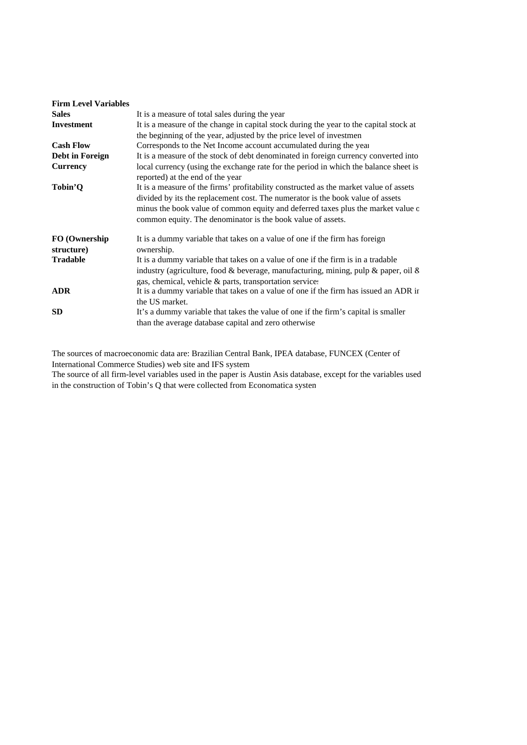| <b>Firm Level Variables</b> |                                                                                        |
|-----------------------------|----------------------------------------------------------------------------------------|
| <b>Sales</b>                | It is a measure of total sales during the year                                         |
| <b>Investment</b>           | It is a measure of the change in capital stock during the year to the capital stock at |
|                             | the beginning of the year, adjusted by the price level of investmen                    |
| <b>Cash Flow</b>            | Corresponds to the Net Income account accumulated during the year                      |
| Debt in Foreign             | It is a measure of the stock of debt denominated in foreign currency converted into    |
| <b>Currency</b>             | local currency (using the exchange rate for the period in which the balance sheet is   |
|                             | reported) at the end of the year                                                       |
| Tobin'Q                     | It is a measure of the firms' profitability constructed as the market value of assets  |
|                             | divided by its the replacement cost. The numerator is the book value of assets         |
|                             | minus the book value of common equity and deferred taxes plus the market value o       |
|                             | common equity. The denominator is the book value of assets.                            |
| FO (Ownership               | It is a dummy variable that takes on a value of one if the firm has foreign            |
| structure)                  | ownership.                                                                             |
| <b>Tradable</b>             | It is a dummy variable that takes on a value of one if the firm is in a tradable       |
|                             | industry (agriculture, food & beverage, manufacturing, mining, pulp & paper, oil &     |
|                             | gas, chemical, vehicle & parts, transportation services                                |
| <b>ADR</b>                  | It is a dummy variable that takes on a value of one if the firm has issued an ADR ir   |
|                             | the US market.                                                                         |
| <b>SD</b>                   | It's a dummy variable that takes the value of one if the firm's capital is smaller     |
|                             | than the average database capital and zero otherwise                                   |

The sources of macroeconomic data are: Brazilian Central Bank, IPEA database, FUNCEX (Center of International Commerce Studies) web site and IFS system

The source of all firm-level variables used in the paper is Austin Asis database, except for the variables used in the construction of Tobin's Q that were collected from Economatica system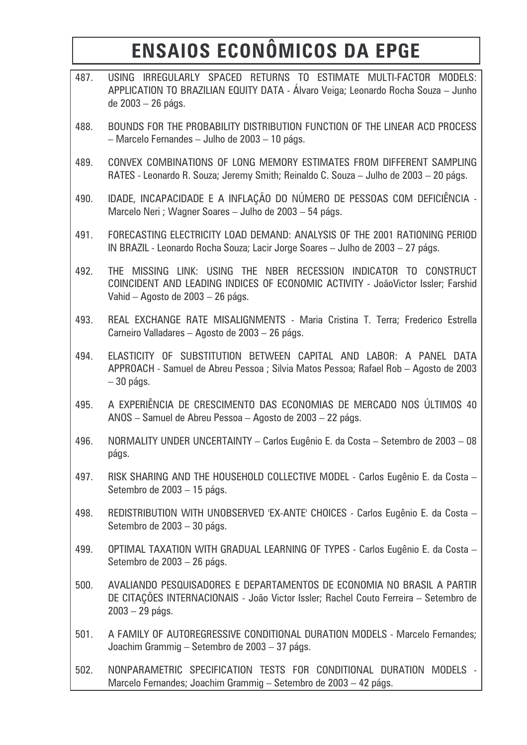# ENSAIOS ECONÔMICOS DA EPGE

| 487. | USING IRREGULARLY SPACED RETURNS TO ESTIMATE MULTI-FACTOR MODELS:<br>APPLICATION TO BRAZILIAN EQUITY DATA - Álvaro Veiga; Leonardo Rocha Souza - Junho<br>de 2003 - 26 págs.               |
|------|--------------------------------------------------------------------------------------------------------------------------------------------------------------------------------------------|
| 488. | BOUNDS FOR THE PROBABILITY DISTRIBUTION FUNCTION OF THE LINEAR ACD PROCESS<br>- Marcelo Fernandes - Julho de 2003 - 10 págs.                                                               |
| 489. | CONVEX COMBINATIONS OF LONG MEMORY ESTIMATES FROM DIFFERENT SAMPLING<br>RATES - Leonardo R. Souza; Jeremy Smith; Reinaldo C. Souza - Julho de 2003 - 20 págs.                              |
| 490. | IDADE, INCAPACIDADE E A INFLAÇÃO DO NÚMERO DE PESSOAS COM DEFICIÊNCIA -<br>Marcelo Neri ; Wagner Soares - Julho de 2003 - 54 págs.                                                         |
| 491. | FORECASTING ELECTRICITY LOAD DEMAND: ANALYSIS OF THE 2001 RATIONING PERIOD<br>IN BRAZIL - Leonardo Rocha Souza; Lacir Jorge Soares - Julho de 2003 - 27 págs.                              |
| 492. | THE MISSING LINK: USING THE NBER RECESSION INDICATOR TO CONSTRUCT<br>COINCIDENT AND LEADING INDICES OF ECONOMIC ACTIVITY - JoãoVictor Issler; Farshid<br>Vahid - Agosto de 2003 - 26 págs. |
| 493. | REAL EXCHANGE RATE MISALIGNMENTS - Maria Cristina T. Terra; Frederico Estrella<br>Carneiro Valladares - Agosto de 2003 - 26 págs.                                                          |
| 494. | ELASTICITY OF SUBSTITUTION BETWEEN CAPITAL AND LABOR: A PANEL DATA<br>APPROACH - Samuel de Abreu Pessoa ; Silvia Matos Pessoa; Rafael Rob - Agosto de 2003<br>$-30$ págs.                  |
| 495. | A EXPERIÊNCIA DE CRESCIMENTO DAS ECONOMIAS DE MERCADO NOS ÚLTIMOS 40<br>ANOS - Samuel de Abreu Pessoa - Agosto de 2003 - 22 págs.                                                          |
| 496. | NORMALITY UNDER UNCERTAINTY - Carlos Eugênio E. da Costa - Setembro de 2003 - 08<br>págs.                                                                                                  |
| 497. | RISK SHARING AND THE HOUSEHOLD COLLECTIVE MODEL - Carlos Eugênio E. da Costa -<br>Setembro de 2003 - 15 págs.                                                                              |
| 498. | REDISTRIBUTION WITH UNOBSERVED 'EX-ANTE' CHOICES - Carlos Eugênio E. da Costa -<br>Setembro de 2003 - 30 págs.                                                                             |
| 499. | OPTIMAL TAXATION WITH GRADUAL LEARNING OF TYPES - Carlos Eugênio E. da Costa -<br>Setembro de 2003 - 26 págs.                                                                              |
| 500. | AVALIANDO PESQUISADORES E DEPARTAMENTOS DE ECONOMIA NO BRASIL A PARTIR<br>DE CITAÇÕES INTERNACIONAIS - João Victor Issler; Rachel Couto Ferreira - Setembro de<br>$2003 - 29$ págs.        |
| 501. | A FAMILY OF AUTOREGRESSIVE CONDITIONAL DURATION MODELS - Marcelo Fernandes;<br>Joachim Grammig - Setembro de 2003 - 37 págs.                                                               |
| 502. | NONPARAMETRIC SPECIFICATION TESTS FOR CONDITIONAL DURATION MODELS -<br>Marcelo Fernandes; Joachim Grammig - Setembro de 2003 - 42 págs.                                                    |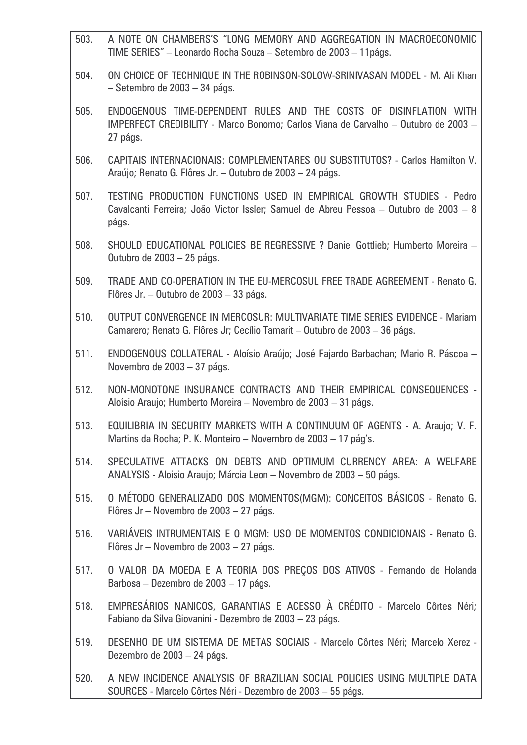| 503. | A NOTE ON CHAMBERS'S "LONG MEMORY AND AGGREGATION IN MACROECONOMIC<br>TIME SERIES" - Leonardo Rocha Souza - Setembro de 2003 - 11 págs.                                 |
|------|-------------------------------------------------------------------------------------------------------------------------------------------------------------------------|
| 504. | ON CHOICE OF TECHNIQUE IN THE ROBINSON-SOLOW-SRINIVASAN MODEL - M. Ali Khan<br>- Setembro de 2003 - 34 págs.                                                            |
| 505. | ENDOGENOUS TIME-DEPENDENT RULES AND THE COSTS OF DISINFLATION WITH<br>IMPERFECT CREDIBILITY - Marco Bonomo; Carlos Viana de Carvalho - Outubro de 2003 -<br>27 págs.    |
| 506. | CAPITAIS INTERNACIONAIS: COMPLEMENTARES OU SUBSTITUTOS? - Carlos Hamilton V.<br>Araújo; Renato G. Flôres Jr. - Outubro de 2003 - 24 págs.                               |
| 507. | TESTING PRODUCTION FUNCTIONS USED IN EMPIRICAL GROWTH STUDIES - Pedro<br>Cavalcanti Ferreira; João Victor Issler; Samuel de Abreu Pessoa - Outubro de 2003 - 8<br>págs. |
| 508. | SHOULD EDUCATIONAL POLICIES BE REGRESSIVE ? Daniel Gottlieb; Humberto Moreira -<br>Outubro de 2003 - 25 págs.                                                           |
| 509. | TRADE AND CO-OPERATION IN THE EU-MERCOSUL FREE TRADE AGREEMENT - Renato G.<br>Flôres Jr. - Outubro de 2003 - 33 págs.                                                   |
| 510. | OUTPUT CONVERGENCE IN MERCOSUR: MULTIVARIATE TIME SERIES EVIDENCE - Mariam<br>Camarero; Renato G. Flôres Jr; Cecílio Tamarit – Outubro de 2003 – 36 págs.               |
| 511. | ENDOGENOUS COLLATERAL - Aloísio Araújo; José Fajardo Barbachan; Mario R. Páscoa -<br>Novembro de 2003 - 37 págs.                                                        |
| 512. | NON-MONOTONE INSURANCE CONTRACTS AND THEIR EMPIRICAL CONSEQUENCES -<br>Aloísio Araujo; Humberto Moreira – Novembro de 2003 – 31 págs.                                   |
| 513. | EQUILIBRIA IN SECURITY MARKETS WITH A CONTINUUM OF AGENTS - A. Araujo; V. F.<br>Martins da Rocha; P. K. Monteiro - Novembro de 2003 - 17 pág's.                         |
| 514. | SPECULATIVE ATTACKS ON DEBTS AND OPTIMUM CURRENCY AREA: A WELFARE<br>ANALYSIS - Aloisio Araujo; Márcia Leon - Novembro de 2003 - 50 págs.                               |
| 515. | O MÉTODO GENERALIZADO DOS MOMENTOS(MGM): CONCEITOS BÁSICOS - Renato G.<br>Flôres Jr - Novembro de 2003 - 27 págs.                                                       |
| 516. | VARIÁVEIS INTRUMENTAIS E O MGM: USO DE MOMENTOS CONDICIONAIS - Renato G.<br>Flôres Jr - Novembro de 2003 - 27 págs.                                                     |
| 517. | O VALOR DA MOEDA E A TEORIA DOS PREÇOS DOS ATIVOS - Fernando de Holanda<br>Barbosa - Dezembro de 2003 - 17 págs.                                                        |
| 518. | EMPRESÁRIOS NANICOS, GARANTIAS E ACESSO À CRÉDITO - Marcelo Côrtes Néri;<br>Fabiano da Silva Giovanini - Dezembro de 2003 - 23 págs.                                    |
| 519. | DESENHO DE UM SISTEMA DE METAS SOCIAIS - Marcelo Côrtes Néri; Marcelo Xerez -<br>Dezembro de 2003 - 24 págs.                                                            |
| 520. | A NEW INCIDENCE ANALYSIS OF BRAZILIAN SOCIAL POLICIES USING MULTIPLE DATA<br>SOURCES - Marcelo Côrtes Néri - Dezembro de 2003 - 55 págs.                                |